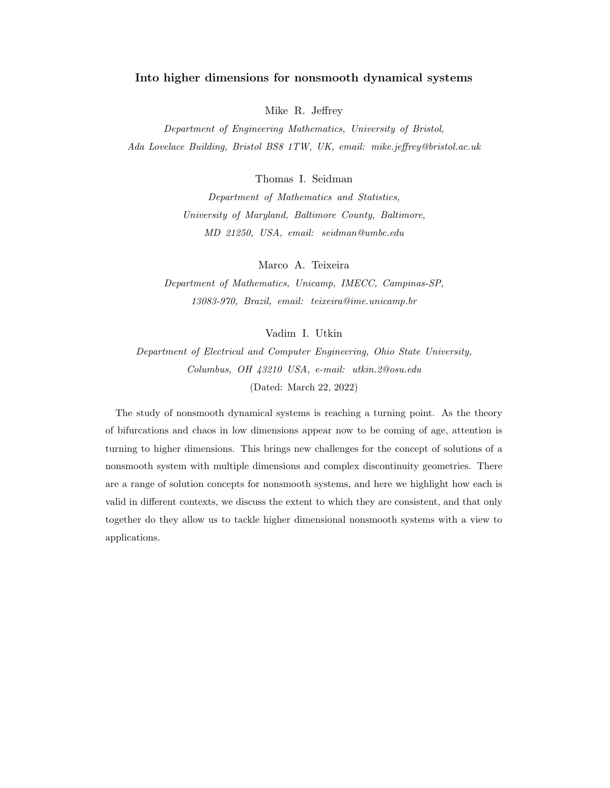# Into higher dimensions for nonsmooth dynamical systems

Mike R. Jeffrey

Department of Engineering Mathematics, University of Bristol, Ada Lovelace Building, Bristol BS8 1TW, UK, email: mike.jeffrey@bristol.ac.uk

Thomas I. Seidman

Department of Mathematics and Statistics, University of Maryland, Baltimore County, Baltimore, MD 21250, USA, email: seidman@umbc.edu

Marco A. Teixeira

Department of Mathematics, Unicamp, IMECC, Campinas-SP, 13083-970, Brazil, email: teixeira@ime.unicamp.br

Vadim I. Utkin

Department of Electrical and Computer Engineering, Ohio State University, Columbus, OH 43210 USA, e-mail: utkin.2@osu.edu (Dated: March 22, 2022)

The study of nonsmooth dynamical systems is reaching a turning point. As the theory of bifurcations and chaos in low dimensions appear now to be coming of age, attention is turning to higher dimensions. This brings new challenges for the concept of solutions of a nonsmooth system with multiple dimensions and complex discontinuity geometries. There are a range of solution concepts for nonsmooth systems, and here we highlight how each is valid in different contexts, we discuss the extent to which they are consistent, and that only together do they allow us to tackle higher dimensional nonsmooth systems with a view to applications.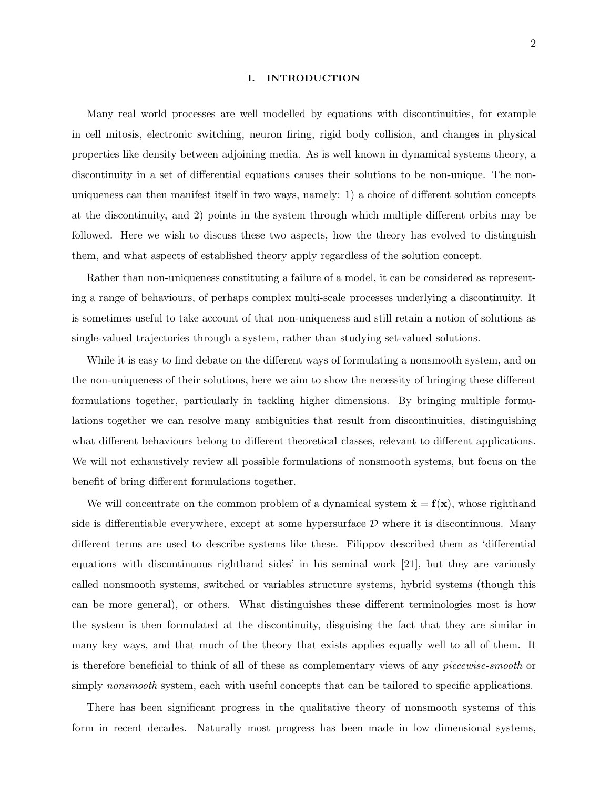### I. INTRODUCTION

Many real world processes are well modelled by equations with discontinuities, for example in cell mitosis, electronic switching, neuron firing, rigid body collision, and changes in physical properties like density between adjoining media. As is well known in dynamical systems theory, a discontinuity in a set of differential equations causes their solutions to be non-unique. The nonuniqueness can then manifest itself in two ways, namely: 1) a choice of different solution concepts at the discontinuity, and 2) points in the system through which multiple different orbits may be followed. Here we wish to discuss these two aspects, how the theory has evolved to distinguish them, and what aspects of established theory apply regardless of the solution concept.

Rather than non-uniqueness constituting a failure of a model, it can be considered as representing a range of behaviours, of perhaps complex multi-scale processes underlying a discontinuity. It is sometimes useful to take account of that non-uniqueness and still retain a notion of solutions as single-valued trajectories through a system, rather than studying set-valued solutions.

While it is easy to find debate on the different ways of formulating a nonsmooth system, and on the non-uniqueness of their solutions, here we aim to show the necessity of bringing these different formulations together, particularly in tackling higher dimensions. By bringing multiple formulations together we can resolve many ambiguities that result from discontinuities, distinguishing what different behaviours belong to different theoretical classes, relevant to different applications. We will not exhaustively review all possible formulations of nonsmooth systems, but focus on the benefit of bring different formulations together.

We will concentrate on the common problem of a dynamical system  $\dot{\mathbf{x}} = \mathbf{f}(\mathbf{x})$ , whose righthand side is differentiable everywhere, except at some hypersurface  $D$  where it is discontinuous. Many different terms are used to describe systems like these. Filippov described them as 'differential equations with discontinuous righthand sides' in his seminal work [21], but they are variously called nonsmooth systems, switched or variables structure systems, hybrid systems (though this can be more general), or others. What distinguishes these different terminologies most is how the system is then formulated at the discontinuity, disguising the fact that they are similar in many key ways, and that much of the theory that exists applies equally well to all of them. It is therefore beneficial to think of all of these as complementary views of any piecewise-smooth or simply *nonsmooth* system, each with useful concepts that can be tailored to specific applications.

There has been significant progress in the qualitative theory of nonsmooth systems of this form in recent decades. Naturally most progress has been made in low dimensional systems,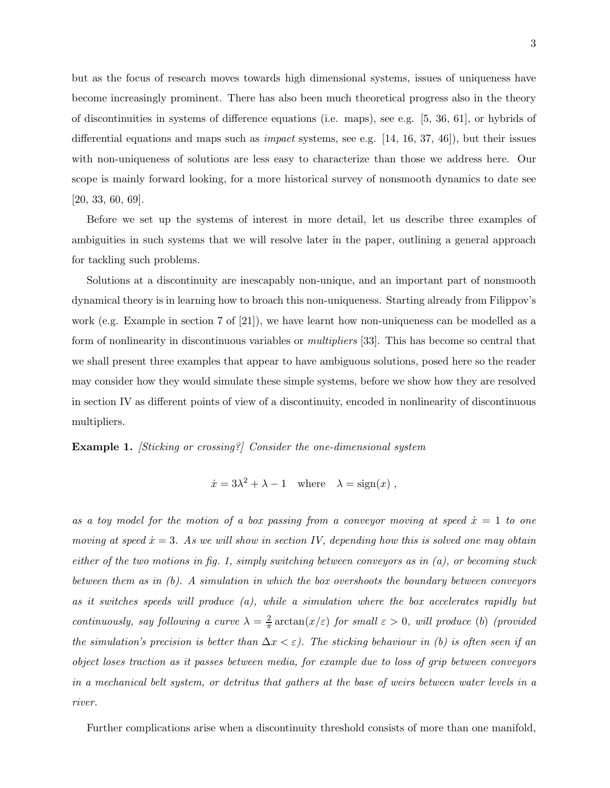but as the focus of research moves towards high dimensional systems, issues of uniqueness have become increasingly prominent. There has also been much theoretical progress also in the theory of discontinuities in systems of difference equations (i.e. maps), see e.g. [5, 36, 61], or hybrids of differential equations and maps such as *impact* systems, see e.g.  $[14, 16, 37, 46]$ , but their issues with non-uniqueness of solutions are less easy to characterize than those we address here. Our scope is mainly forward looking, for a more historical survey of nonsmooth dynamics to date see [20, 33, 60, 69].

Before we set up the systems of interest in more detail, let us describe three examples of ambiguities in such systems that we will resolve later in the paper, outlining a general approach for tackling such problems.

Solutions at a discontinuity are inescapably non-unique, and an important part of nonsmooth dynamical theory is in learning how to broach this non-uniqueness. Starting already from Filippov's work (e.g. Example in section 7 of [21]), we have learnt how non-uniqueness can be modelled as a form of nonlinearity in discontinuous variables or multipliers [33]. This has become so central that we shall present three examples that appear to have ambiguous solutions, posed here so the reader may consider how they would simulate these simple systems, before we show how they are resolved in section IV as different points of view of a discontinuity, encoded in nonlinearity of discontinuous multipliers.

Example 1. [Sticking or crossing?] Consider the one-dimensional system

$$
\dot{x} = 3\lambda^2 + \lambda - 1 \quad \text{where} \quad \lambda = \text{sign}(x) \ ,
$$

as a toy model for the motion of a box passing from a conveyor moving at speed  $\dot{x} = 1$  to one moving at speed  $\dot{x} = 3$ . As we will show in section IV, depending how this is solved one may obtain either of the two motions in fig. 1, simply switching between conveyors as in  $(a)$ , or becoming stuck between them as in (b). A simulation in which the box overshoots the boundary between conveyors as it switches speeds will produce  $(a)$ , while a simulation where the box accelerates rapidly but continuously, say following a curve  $\lambda = \frac{2}{\pi}$  $\frac{2}{\pi} \arctan(x/\varepsilon)$  for small  $\varepsilon > 0$ , will produce (b) (provided the simulation's precision is better than  $\Delta x < \varepsilon$ ). The sticking behaviour in (b) is often seen if an object loses traction as it passes between media, for example due to loss of grip between conveyors in a mechanical belt system, or detritus that gathers at the base of weirs between water levels in a river.

Further complications arise when a discontinuity threshold consists of more than one manifold,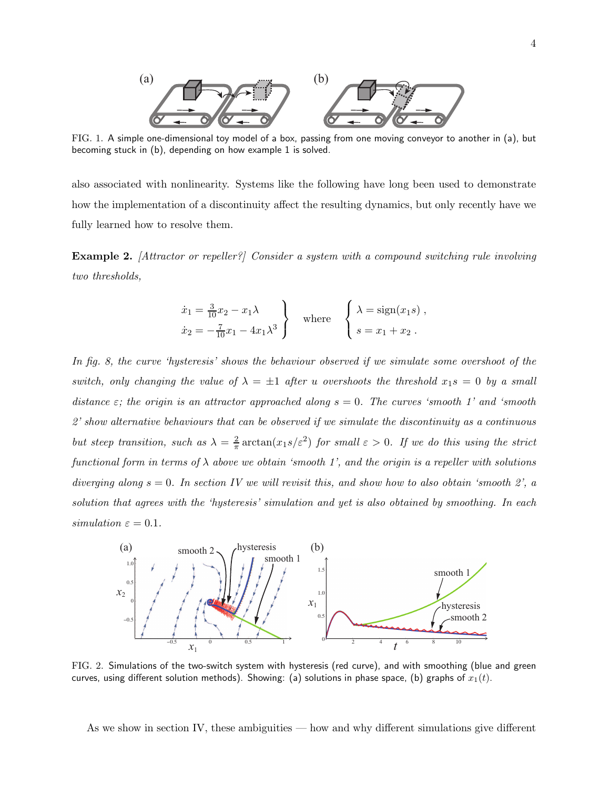

FIG. 1. A simple one-dimensional toy model of a box, passing from one moving conveyor to another in (a), but becoming stuck in (b), depending on how example 1 is solved.

also associated with nonlinearity. Systems like the following have long been used to demonstrate how the implementation of a discontinuity affect the resulting dynamics, but only recently have we fully learned how to resolve them.

Example 2. [Attractor or repeller?] Consider a system with a compound switching rule involving two thresholds,

$$
\dot{x}_1 = \frac{3}{10}x_2 - x_1\lambda
$$
\n
$$
\dot{x}_2 = -\frac{7}{10}x_1 - 4x_1\lambda^3
$$
\nwhere\n
$$
\begin{cases}\n\lambda = \text{sign}(x_1s), \\
s = x_1 + x_2.\n\end{cases}
$$

In fig. 8, the curve 'hysteresis' shows the behaviour observed if we simulate some overshoot of the switch, only changing the value of  $\lambda = \pm 1$  after u overshoots the threshold  $x_1s = 0$  by a small distance  $\varepsilon$ ; the origin is an attractor approached along  $s = 0$ . The curves 'smooth 1' and 'smooth 2' show alternative behaviours that can be observed if we simulate the discontinuity as a continuous but steep transition, such as  $\lambda = \frac{2}{\pi}$  $\frac{2}{\pi} \arctan(x_1 s/\varepsilon^2)$  for small  $\varepsilon > 0$ . If we do this using the strict functional form in terms of  $\lambda$  above we obtain 'smooth 1', and the origin is a repeller with solutions diverging along  $s = 0$ . In section IV we will revisit this, and show how to also obtain 'smooth 2', a solution that agrees with the 'hysteresis' simulation and yet is also obtained by smoothing. In each simulation  $\varepsilon = 0.1$ .



FIG. 2. Simulations of the two-switch system with hysteresis (red curve), and with smoothing (blue and green curves, using different solution methods). Showing: (a) solutions in phase space, (b) graphs of  $x_1(t)$ .

As we show in section IV, these ambiguities — how and why different simulations give different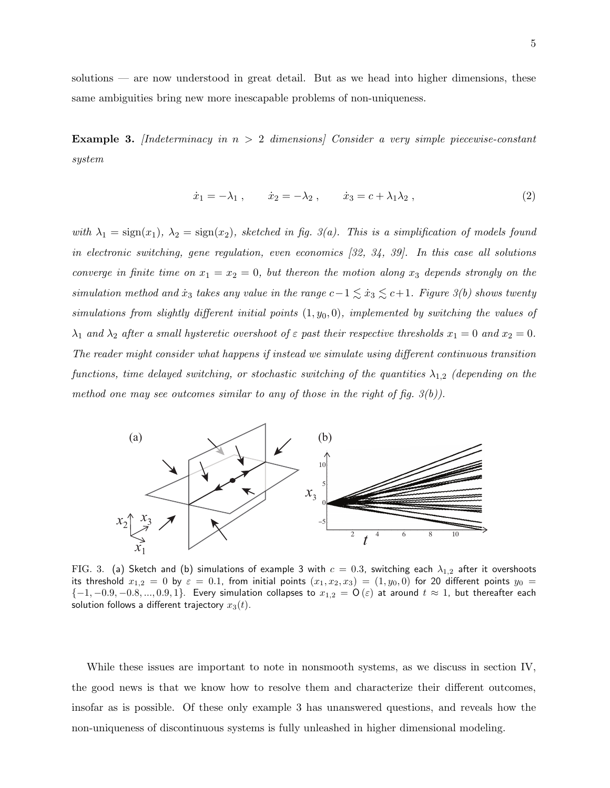solutions — are now understood in great detail. But as we head into higher dimensions, these same ambiguities bring new more inescapable problems of non-uniqueness.

**Example 3.** [Indeterminacy in  $n > 2$  dimensions] Consider a very simple piecewise-constant system

$$
\dot{x}_1 = -\lambda_1 \,, \qquad \dot{x}_2 = -\lambda_2 \,, \qquad \dot{x}_3 = c + \lambda_1 \lambda_2 \,, \tag{2}
$$

with  $\lambda_1 = \text{sign}(x_1)$ ,  $\lambda_2 = \text{sign}(x_2)$ , sketched in fig. 3(a). This is a simplification of models found in electronic switching, gene regulation, even economics [32, 34, 39]. In this case all solutions converge in finite time on  $x_1 = x_2 = 0$ , but thereon the motion along  $x_3$  depends strongly on the simulation method and  $\dot{x}_3$  takes any value in the range  $c-1 \lesssim \dot{x}_3 \lesssim c+1$ . Figure 3(b) shows twenty simulations from slightly different initial points  $(1, y_0, 0)$ , implemented by switching the values of  $\lambda_1$  and  $\lambda_2$  after a small hysteretic overshoot of  $\varepsilon$  past their respective thresholds  $x_1 = 0$  and  $x_2 = 0$ . The reader might consider what happens if instead we simulate using different continuous transition functions, time delayed switching, or stochastic switching of the quantities  $\lambda_{1,2}$  (depending on the method one may see outcomes similar to any of those in the right of fig.  $3(b)$ ).



FIG. 3. (a) Sketch and (b) simulations of example 3 with  $c = 0.3$ , switching each  $\lambda_{1,2}$  after it overshoots its threshold  $x_{1,2} = 0$  by  $\varepsilon = 0.1$ , from initial points  $(x_1, x_2, x_3) = (1, y_0, 0)$  for 20 different points  $y_0 =$  $\{-1,-0.9,-0.8,...,0.9,1\}$ . Every simulation collapses to  $x_{1,2} = \mathsf{O}(\varepsilon)$  at around  $t \approx 1$ , but thereafter each solution follows a different trajectory  $x_3(t)$ .

While these issues are important to note in nonsmooth systems, as we discuss in section IV, the good news is that we know how to resolve them and characterize their different outcomes, insofar as is possible. Of these only example 3 has unanswered questions, and reveals how the non-uniqueness of discontinuous systems is fully unleashed in higher dimensional modeling.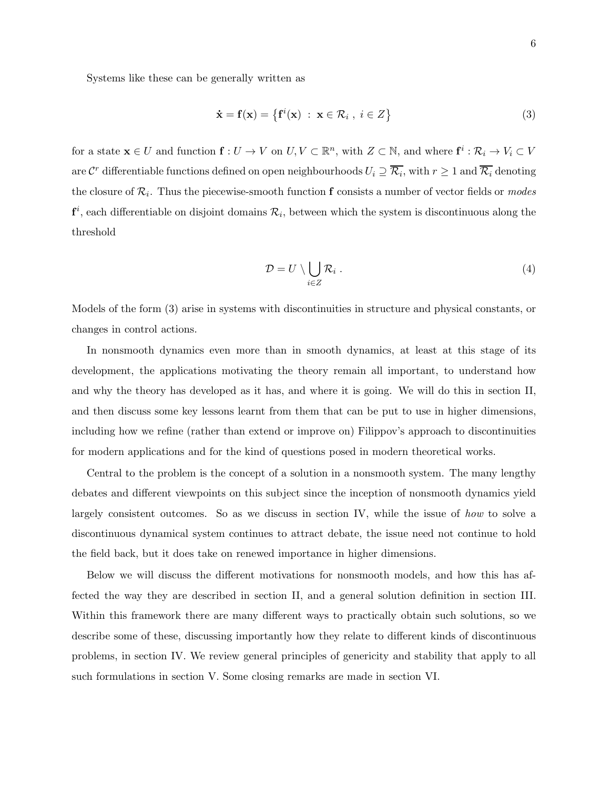Systems like these can be generally written as

$$
\dot{\mathbf{x}} = \mathbf{f}(\mathbf{x}) = \left\{ \mathbf{f}^i(\mathbf{x}) \; : \; \mathbf{x} \in \mathcal{R}_i \; , \; i \in Z \right\} \tag{3}
$$

for a state  $\mathbf{x} \in U$  and function  $\mathbf{f}: U \to V$  on  $U, V \subset \mathbb{R}^n$ , with  $Z \subset \mathbb{N}$ , and where  $\mathbf{f}^i: \mathcal{R}_i \to V_i \subset V$ are  $\mathcal{C}^r$  differentiable functions defined on open neighbourhoods  $U_i\supseteq \overline{\mathcal{R}_i}$ , with  $r\geq 1$  and  $\overline{\mathcal{R}_i}$  denoting the closure of  $\mathcal{R}_i$ . Thus the piecewise-smooth function **f** consists a number of vector fields or *modes*  $f^i$ , each differentiable on disjoint domains  $\mathcal{R}_i$ , between which the system is discontinuous along the threshold

$$
\mathcal{D} = U \setminus \bigcup_{i \in Z} \mathcal{R}_i \ . \tag{4}
$$

Models of the form (3) arise in systems with discontinuities in structure and physical constants, or changes in control actions.

In nonsmooth dynamics even more than in smooth dynamics, at least at this stage of its development, the applications motivating the theory remain all important, to understand how and why the theory has developed as it has, and where it is going. We will do this in section II, and then discuss some key lessons learnt from them that can be put to use in higher dimensions, including how we refine (rather than extend or improve on) Filippov's approach to discontinuities for modern applications and for the kind of questions posed in modern theoretical works.

Central to the problem is the concept of a solution in a nonsmooth system. The many lengthy debates and different viewpoints on this subject since the inception of nonsmooth dynamics yield largely consistent outcomes. So as we discuss in section IV, while the issue of how to solve a discontinuous dynamical system continues to attract debate, the issue need not continue to hold the field back, but it does take on renewed importance in higher dimensions.

Below we will discuss the different motivations for nonsmooth models, and how this has affected the way they are described in section II, and a general solution definition in section III. Within this framework there are many different ways to practically obtain such solutions, so we describe some of these, discussing importantly how they relate to different kinds of discontinuous problems, in section IV. We review general principles of genericity and stability that apply to all such formulations in section V. Some closing remarks are made in section VI.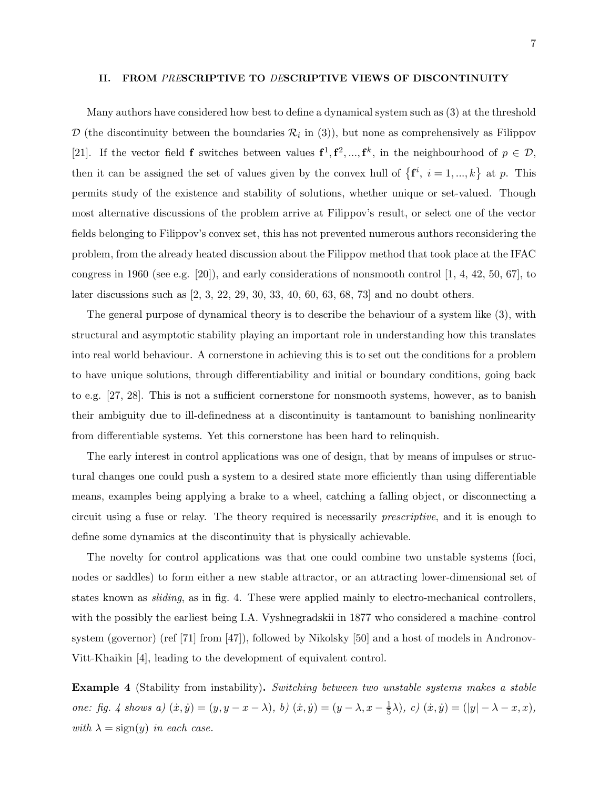### II. FROM PRESCRIPTIVE TO DESCRIPTIVE VIEWS OF DISCONTINUITY

Many authors have considered how best to define a dynamical system such as (3) at the threshold  $\mathcal{D}$  (the discontinuity between the boundaries  $\mathcal{R}_i$  in (3)), but none as comprehensively as Filippov [21]. If the vector field **f** switches between values  $f^1, f^2, ..., f^k$ , in the neighbourhood of  $p \in \mathcal{D}$ , then it can be assigned the set of values given by the convex hull of  $\{f^i, i = 1, ..., k\}$  at p. This permits study of the existence and stability of solutions, whether unique or set-valued. Though most alternative discussions of the problem arrive at Filippov's result, or select one of the vector fields belonging to Filippov's convex set, this has not prevented numerous authors reconsidering the problem, from the already heated discussion about the Filippov method that took place at the IFAC congress in 1960 (see e.g. [20]), and early considerations of nonsmooth control  $[1, 4, 42, 50, 67]$ , to later discussions such as [2, 3, 22, 29, 30, 33, 40, 60, 63, 68, 73] and no doubt others.

The general purpose of dynamical theory is to describe the behaviour of a system like (3), with structural and asymptotic stability playing an important role in understanding how this translates into real world behaviour. A cornerstone in achieving this is to set out the conditions for a problem to have unique solutions, through differentiability and initial or boundary conditions, going back to e.g. [27, 28]. This is not a sufficient cornerstone for nonsmooth systems, however, as to banish their ambiguity due to ill-definedness at a discontinuity is tantamount to banishing nonlinearity from differentiable systems. Yet this cornerstone has been hard to relinquish.

The early interest in control applications was one of design, that by means of impulses or structural changes one could push a system to a desired state more efficiently than using differentiable means, examples being applying a brake to a wheel, catching a falling object, or disconnecting a circuit using a fuse or relay. The theory required is necessarily prescriptive, and it is enough to define some dynamics at the discontinuity that is physically achievable.

The novelty for control applications was that one could combine two unstable systems (foci, nodes or saddles) to form either a new stable attractor, or an attracting lower-dimensional set of states known as sliding, as in fig. 4. These were applied mainly to electro-mechanical controllers, with the possibly the earliest being I.A. Vyshnegradskii in 1877 who considered a machine–control system (governor) (ref [71] from [47]), followed by Nikolsky [50] and a host of models in Andronov-Vitt-Khaikin [4], leading to the development of equivalent control.

Example 4 (Stability from instability). Switching between two unstable systems makes a stable one: fig. 4 shows a)  $(\dot{x}, \dot{y}) = (y, y - x - \lambda), b) (\dot{x}, \dot{y}) = (y - \lambda, x - \frac{1}{5})$  $(\frac{1}{5}\lambda), c)$   $(\dot{x}, \dot{y}) = (|y| - \lambda - x, x),$ with  $\lambda = \text{sign}(y)$  in each case.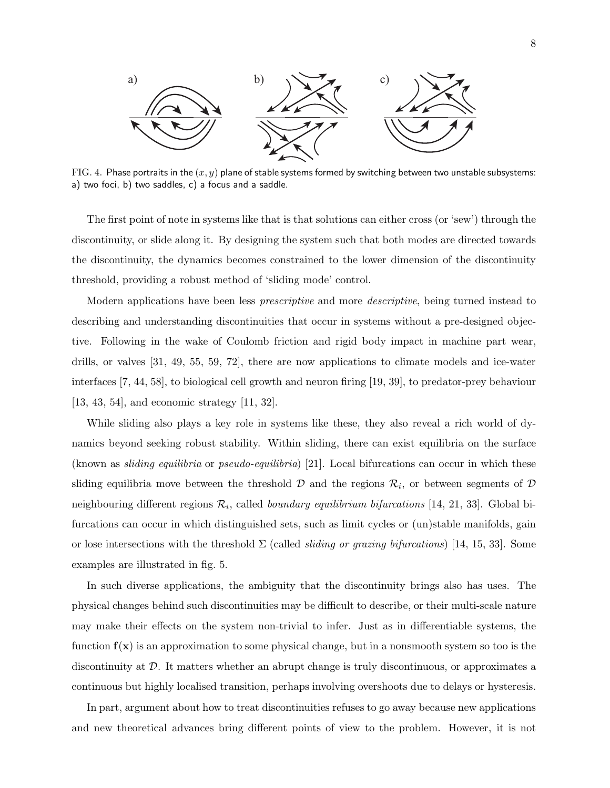

FIG. 4. Phase portraits in the  $(x, y)$  plane of stable systems formed by switching between two unstable subsystems: a) two foci, b) two saddles, c) a focus and a saddle.

The first point of note in systems like that is that solutions can either cross (or 'sew') through the discontinuity, or slide along it. By designing the system such that both modes are directed towards the discontinuity, the dynamics becomes constrained to the lower dimension of the discontinuity threshold, providing a robust method of 'sliding mode' control.

Modern applications have been less *prescriptive* and more *descriptive*, being turned instead to describing and understanding discontinuities that occur in systems without a pre-designed objective. Following in the wake of Coulomb friction and rigid body impact in machine part wear, drills, or valves [31, 49, 55, 59, 72], there are now applications to climate models and ice-water interfaces [7, 44, 58], to biological cell growth and neuron firing [19, 39], to predator-prey behaviour [13, 43, 54], and economic strategy [11, 32].

While sliding also plays a key role in systems like these, they also reveal a rich world of dynamics beyond seeking robust stability. Within sliding, there can exist equilibria on the surface (known as *sliding equilibria* or *pseudo-equilibria*) [21]. Local bifurcations can occur in which these sliding equilibria move between the threshold  $D$  and the regions  $\mathcal{R}_i$ , or between segments of  $D$ neighbouring different regions  $\mathcal{R}_i$ , called *boundary equilibrium bifurcations* [14, 21, 33]. Global bifurcations can occur in which distinguished sets, such as limit cycles or (un)stable manifolds, gain or lose intersections with the threshold  $\Sigma$  (called *sliding or grazing bifurcations*) [14, 15, 33]. Some examples are illustrated in fig. 5.

In such diverse applications, the ambiguity that the discontinuity brings also has uses. The physical changes behind such discontinuities may be difficult to describe, or their multi-scale nature may make their effects on the system non-trivial to infer. Just as in differentiable systems, the function  $f(x)$  is an approximation to some physical change, but in a nonsmooth system so too is the discontinuity at D. It matters whether an abrupt change is truly discontinuous, or approximates a continuous but highly localised transition, perhaps involving overshoots due to delays or hysteresis.

In part, argument about how to treat discontinuities refuses to go away because new applications and new theoretical advances bring different points of view to the problem. However, it is not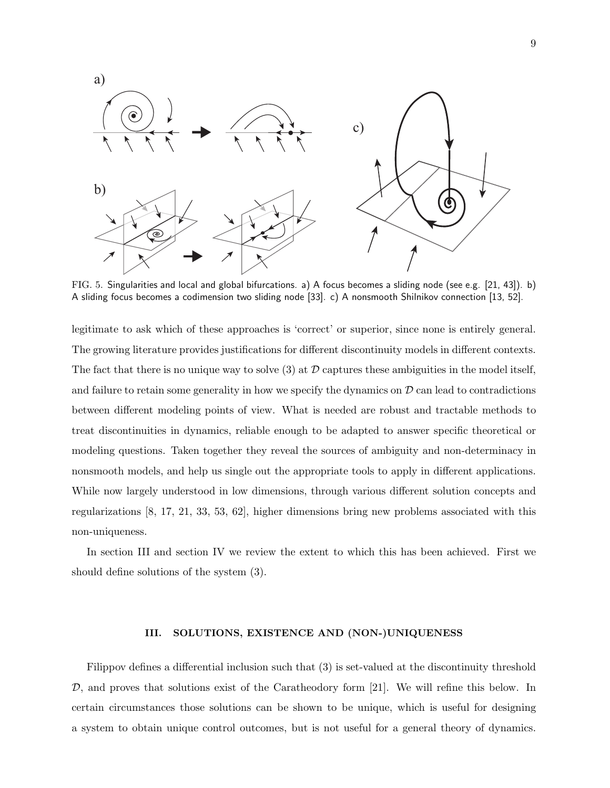

FIG. 5. Singularities and local and global bifurcations. a) A focus becomes a sliding node (see e.g. [21, 43]). b) A sliding focus becomes a codimension two sliding node [33]. c) A nonsmooth Shilnikov connection [13, 52].

legitimate to ask which of these approaches is 'correct' or superior, since none is entirely general. The growing literature provides justifications for different discontinuity models in different contexts. The fact that there is no unique way to solve (3) at  $\mathcal D$  captures these ambiguities in the model itself, and failure to retain some generality in how we specify the dynamics on  $\mathcal D$  can lead to contradictions between different modeling points of view. What is needed are robust and tractable methods to treat discontinuities in dynamics, reliable enough to be adapted to answer specific theoretical or modeling questions. Taken together they reveal the sources of ambiguity and non-determinacy in nonsmooth models, and help us single out the appropriate tools to apply in different applications. While now largely understood in low dimensions, through various different solution concepts and regularizations [8, 17, 21, 33, 53, 62], higher dimensions bring new problems associated with this non-uniqueness.

In section III and section IV we review the extent to which this has been achieved. First we should define solutions of the system (3).

## III. SOLUTIONS, EXISTENCE AND (NON-)UNIQUENESS

Filippov defines a differential inclusion such that (3) is set-valued at the discontinuity threshold  $\mathcal{D}$ , and proves that solutions exist of the Caratheodory form [21]. We will refine this below. In certain circumstances those solutions can be shown to be unique, which is useful for designing a system to obtain unique control outcomes, but is not useful for a general theory of dynamics.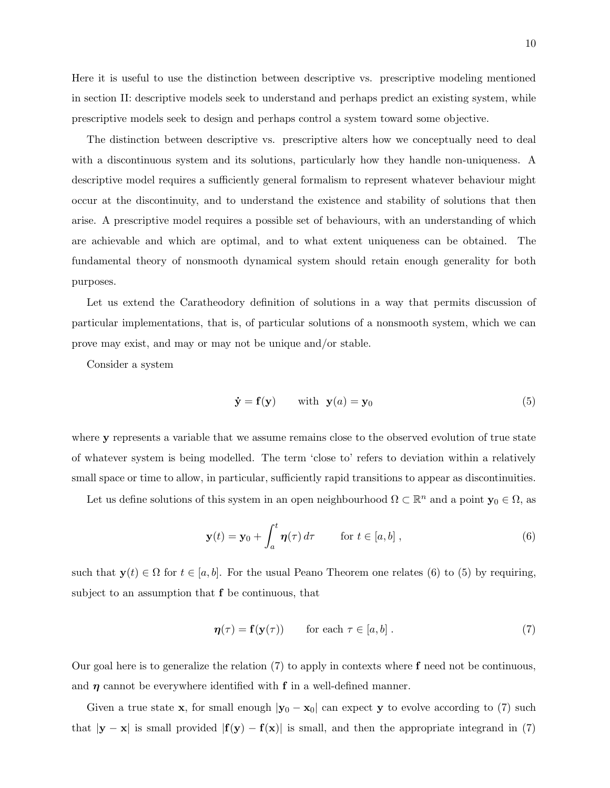Here it is useful to use the distinction between descriptive vs. prescriptive modeling mentioned in section II: descriptive models seek to understand and perhaps predict an existing system, while prescriptive models seek to design and perhaps control a system toward some objective.

The distinction between descriptive vs. prescriptive alters how we conceptually need to deal with a discontinuous system and its solutions, particularly how they handle non-uniqueness. A descriptive model requires a sufficiently general formalism to represent whatever behaviour might occur at the discontinuity, and to understand the existence and stability of solutions that then arise. A prescriptive model requires a possible set of behaviours, with an understanding of which are achievable and which are optimal, and to what extent uniqueness can be obtained. The fundamental theory of nonsmooth dynamical system should retain enough generality for both purposes.

Let us extend the Caratheodory definition of solutions in a way that permits discussion of particular implementations, that is, of particular solutions of a nonsmooth system, which we can prove may exist, and may or may not be unique and/or stable.

Consider a system

$$
\dot{\mathbf{y}} = \mathbf{f}(\mathbf{y}) \qquad \text{with} \quad \mathbf{y}(a) = \mathbf{y}_0 \tag{5}
$$

where y represents a variable that we assume remains close to the observed evolution of true state of whatever system is being modelled. The term 'close to' refers to deviation within a relatively small space or time to allow, in particular, sufficiently rapid transitions to appear as discontinuities.

Let us define solutions of this system in an open neighbourhood  $\Omega \subset \mathbb{R}^n$  and a point  $y_0 \in \Omega$ , as

$$
\mathbf{y}(t) = \mathbf{y}_0 + \int_a^t \boldsymbol{\eta}(\tau) d\tau \qquad \text{for } t \in [a, b] ,
$$
 (6)

such that  $y(t) \in \Omega$  for  $t \in [a, b]$ . For the usual Peano Theorem one relates (6) to (5) by requiring, subject to an assumption that f be continuous, that

$$
\eta(\tau) = \mathbf{f}(\mathbf{y}(\tau)) \qquad \text{for each } \tau \in [a, b]. \tag{7}
$$

Our goal here is to generalize the relation  $(7)$  to apply in contexts where f need not be continuous, and  $\eta$  cannot be everywhere identified with f in a well-defined manner.

Given a true state x, for small enough  $|y_0 - x_0|$  can expect y to evolve according to (7) such that  $|y - x|$  is small provided  $|f(y) - f(x)|$  is small, and then the appropriate integrand in (7)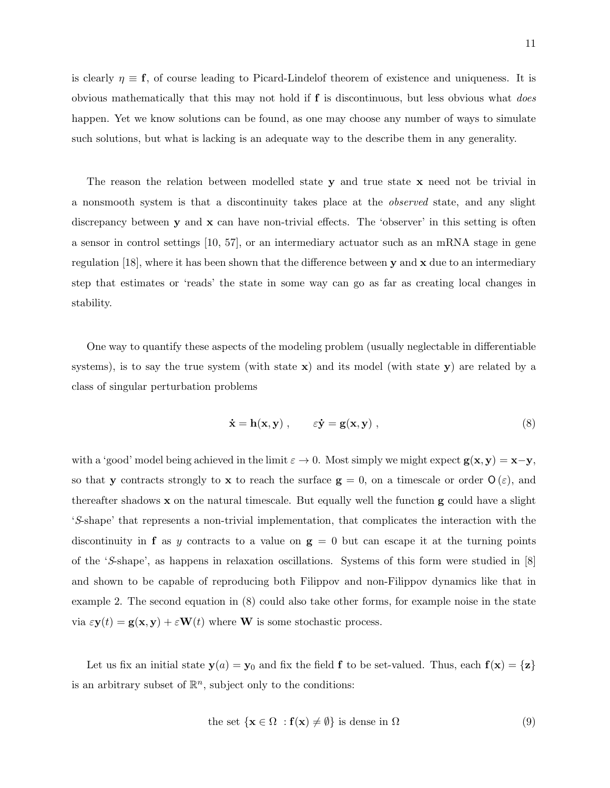is clearly  $\eta \equiv f$ , of course leading to Picard-Lindelof theorem of existence and uniqueness. It is obvious mathematically that this may not hold if f is discontinuous, but less obvious what does happen. Yet we know solutions can be found, as one may choose any number of ways to simulate such solutions, but what is lacking is an adequate way to the describe them in any generality.

The reason the relation between modelled state y and true state x need not be trivial in a nonsmooth system is that a discontinuity takes place at the observed state, and any slight discrepancy between  $y$  and  $x$  can have non-trivial effects. The 'observer' in this setting is often a sensor in control settings [10, 57], or an intermediary actuator such as an mRNA stage in gene regulation [18], where it has been shown that the difference between  $y$  and  $x$  due to an intermediary step that estimates or 'reads' the state in some way can go as far as creating local changes in stability.

One way to quantify these aspects of the modeling problem (usually neglectable in differentiable systems), is to say the true system (with state  $x$ ) and its model (with state  $y$ ) are related by a class of singular perturbation problems

$$
\dot{\mathbf{x}} = \mathbf{h}(\mathbf{x}, \mathbf{y}) , \qquad \varepsilon \dot{\mathbf{y}} = \mathbf{g}(\mathbf{x}, \mathbf{y}) , \qquad (8)
$$

with a 'good' model being achieved in the limit  $\varepsilon \to 0$ . Most simply we might expect  $\mathbf{g}(\mathbf{x}, \mathbf{y}) = \mathbf{x}-\mathbf{y}$ , so that y contracts strongly to x to reach the surface  $g = 0$ , on a timescale or order  $O(\varepsilon)$ , and thereafter shadows  $x$  on the natural timescale. But equally well the function  $g$  could have a slight 'S-shape' that represents a non-trivial implementation, that complicates the interaction with the discontinuity in **f** as y contracts to a value on  $g = 0$  but can escape it at the turning points of the 'S-shape', as happens in relaxation oscillations. Systems of this form were studied in [8] and shown to be capable of reproducing both Filippov and non-Filippov dynamics like that in example 2. The second equation in (8) could also take other forms, for example noise in the state via  $\varepsilon \mathbf{y}(t) = \mathbf{g}(\mathbf{x}, \mathbf{y}) + \varepsilon \mathbf{W}(t)$  where **W** is some stochastic process.

Let us fix an initial state  $y(a) = y_0$  and fix the field **f** to be set-valued. Thus, each  $f(x) = \{z\}$ is an arbitrary subset of  $\mathbb{R}^n$ , subject only to the conditions:

the set 
$$
\{x \in \Omega : f(x) \neq \emptyset\}
$$
 is dense in  $\Omega$  (9)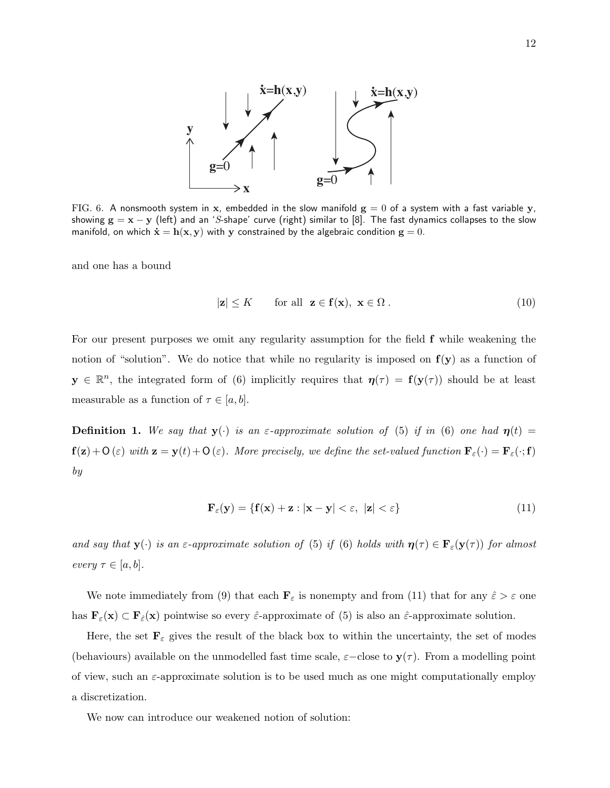

FIG. 6. A nonsmooth system in x, embedded in the slow manifold  $g = 0$  of a system with a fast variable y, showing  $g = x - y$  (left) and an 'S-shape' curve (right) similar to [8]. The fast dynamics collapses to the slow manifold, on which  $\dot{\mathbf{x}} = \mathbf{h}(\mathbf{x}, \mathbf{y})$  with y constrained by the algebraic condition  $\mathbf{g} = 0$ .

and one has a bound

$$
|\mathbf{z}| \le K \qquad \text{for all } \mathbf{z} \in \mathbf{f}(\mathbf{x}), \ \mathbf{x} \in \Omega \,. \tag{10}
$$

For our present purposes we omit any regularity assumption for the field f while weakening the notion of "solution". We do notice that while no regularity is imposed on  $f(y)$  as a function of  $y \in \mathbb{R}^n$ , the integrated form of (6) implicitly requires that  $\eta(\tau) = f(y(\tau))$  should be at least measurable as a function of  $\tau \in [a, b]$ .

**Definition 1.** We say that  $y(\cdot)$  is an  $\varepsilon$ -approximate solution of (5) if in (6) one had  $\eta(t)$  =  $f(z)+O(\varepsilon)$  with  $z = y(t)+O(\varepsilon)$ . More precisely, we define the set-valued function  $F_{\varepsilon}(\cdot) = F_{\varepsilon}(\cdot; f)$ by

$$
\mathbf{F}_{\varepsilon}(\mathbf{y}) = \{ \mathbf{f}(\mathbf{x}) + \mathbf{z} : |\mathbf{x} - \mathbf{y}| < \varepsilon, \ |\mathbf{z}| < \varepsilon \} \tag{11}
$$

and say that  $y(\cdot)$  is an  $\varepsilon$ -approximate solution of (5) if (6) holds with  $\eta(\tau) \in \mathbf{F}_{\varepsilon}(y(\tau))$  for almost every  $\tau \in [a, b]$ .

We note immediately from (9) that each  $\mathbf{F}_{\varepsilon}$  is nonempty and from (11) that for any  $\hat{\varepsilon} > \varepsilon$  one has  $\mathbf{F}_{\varepsilon}(\mathbf{x}) \subset \mathbf{F}_{\varepsilon}(\mathbf{x})$  pointwise so every  $\hat{\varepsilon}$ -approximate of (5) is also an  $\hat{\varepsilon}$ -approximate solution.

Here, the set  $\mathbf{F}_{\varepsilon}$  gives the result of the black box to within the uncertainty, the set of modes (behaviours) available on the unmodelled fast time scale,  $\varepsilon$ –close to  $y(\tau)$ . From a modelling point of view, such an  $\varepsilon$ -approximate solution is to be used much as one might computationally employ a discretization.

We now can introduce our weakened notion of solution: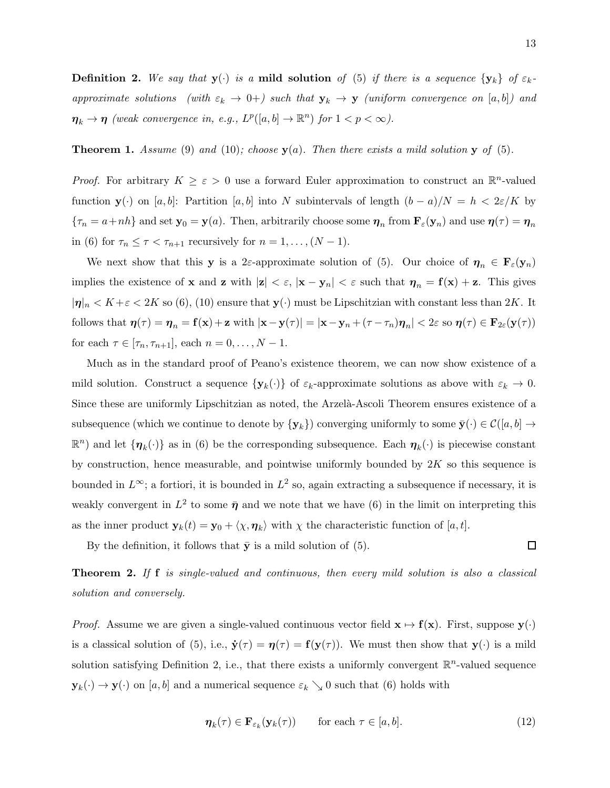**Definition 2.** We say that  $y(\cdot)$  is a **mild solution** of (5) if there is a sequence  $\{y_k\}$  of  $\varepsilon_k$ approximate solutions (with  $\varepsilon_k \to 0+$ ) such that  $y_k \to y$  (uniform convergence on [a, b]) and  $\eta_k \to \eta$  (weak convergence in, e.g.,  $L^p([a, b] \to \mathbb{R}^n)$  for  $1 < p < \infty$ ).

**Theorem 1.** Assume (9) and (10); choose  $y(a)$ . Then there exists a mild solution y of (5).

*Proof.* For arbitrary  $K \geq \varepsilon > 0$  use a forward Euler approximation to construct an  $\mathbb{R}^n$ -valued function  $y(\cdot)$  on [a, b]: Partition [a, b] into N subintervals of length  $(b - a)/N = h < 2\varepsilon/K$  by  ${\tau_n = a + nh}$  and set  $y_0 = y(a)$ . Then, arbitrarily choose some  $\eta_n$  from  $\mathbf{F}_{\varepsilon}(y_n)$  and use  $\eta(\tau) = \eta_n$ in (6) for  $\tau_n \leq \tau < \tau_{n+1}$  recursively for  $n = 1, \ldots, (N-1)$ .

We next show that this y is a 2 $\varepsilon$ -approximate solution of (5). Our choice of  $\eta_n \in \mathbf{F}_{\varepsilon}(\mathbf{y}_n)$ implies the existence of **x** and **z** with  $|z| < \varepsilon$ ,  $|x - y_n| < \varepsilon$  such that  $\eta_n = f(x) + z$ . This gives  $|\eta|_n < K + \varepsilon < 2K$  so (6), (10) ensure that  $y(\cdot)$  must be Lipschitzian with constant less than  $2K$ . It follows that  $\eta(\tau) = \eta_n = f(x) + z$  with  $|x - y(\tau)| = |x - y_n + (\tau - \tau_n)\eta_n| < 2\varepsilon$  so  $\eta(\tau) \in \mathbf{F}_{2\varepsilon}(y(\tau))$ for each  $\tau \in [\tau_n, \tau_{n+1}],$  each  $n = 0, ..., N - 1.$ 

Much as in the standard proof of Peano's existence theorem, we can now show existence of a mild solution. Construct a sequence  $\{y_k(\cdot)\}\$  of  $\varepsilon_k$ -approximate solutions as above with  $\varepsilon_k \to 0$ . Since these are uniformly Lipschitzian as noted, the Arzelà-Ascoli Theorem ensures existence of a subsequence (which we continue to denote by  $\{y_k\}$ ) converging uniformly to some  $\bar{y}(\cdot) \in \mathcal{C}([a, b] \to \infty)$  $\mathbb{R}^n$ ) and let  $\{\eta_k(\cdot)\}\$ as in (6) be the corresponding subsequence. Each  $\eta_k(\cdot)$  is piecewise constant by construction, hence measurable, and pointwise uniformly bounded by  $2K$  so this sequence is bounded in  $L^{\infty}$ ; a fortiori, it is bounded in  $L^2$  so, again extracting a subsequence if necessary, it is weakly convergent in  $L^2$  to some  $\bar{\eta}$  and we note that we have (6) in the limit on interpreting this as the inner product  $\mathbf{y}_k(t) = \mathbf{y}_0 + \langle \chi, \eta_k \rangle$  with  $\chi$  the characteristic function of [a, t].

By the definition, it follows that  $\bar{y}$  is a mild solution of (5).

**Theorem 2.** If f is single-valued and continuous, then every mild solution is also a classical solution and conversely.

*Proof.* Assume we are given a single-valued continuous vector field  $x \mapsto f(x)$ . First, suppose  $y(\cdot)$ is a classical solution of (5), i.e.,  $\dot{\mathbf{y}}(\tau) = \eta(\tau) = \mathbf{f}(\mathbf{y}(\tau))$ . We must then show that  $\mathbf{y}(\cdot)$  is a mild solution satisfying Definition 2, i.e., that there exists a uniformly convergent  $\mathbb{R}^n$ -valued sequence  $\mathbf{y}_k(\cdot) \to \mathbf{y}(\cdot)$  on [a, b] and a numerical sequence  $\varepsilon_k \searrow 0$  such that (6) holds with

$$
\eta_k(\tau) \in \mathbf{F}_{\varepsilon_k}(\mathbf{y}_k(\tau)) \qquad \text{for each } \tau \in [a, b]. \tag{12}
$$

 $\Box$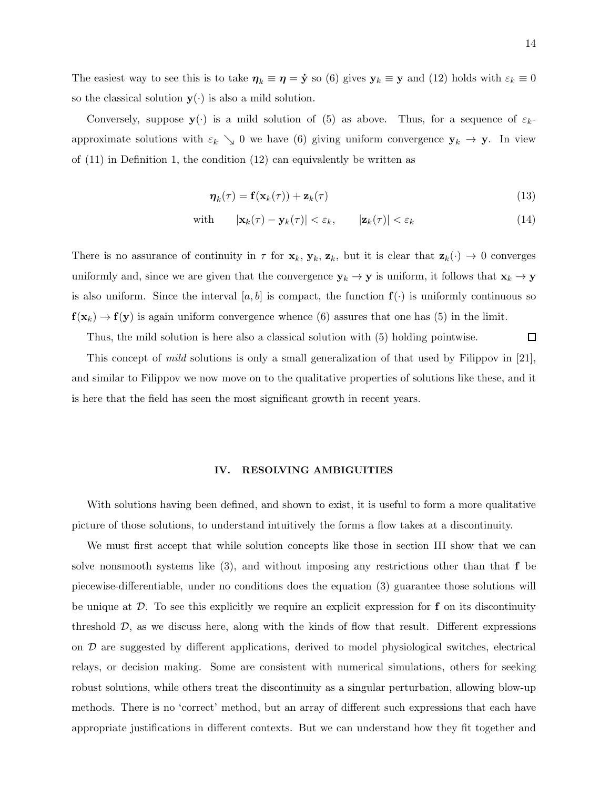The easiest way to see this is to take  $\eta_k \equiv \eta = \dot{y}$  so (6) gives  $y_k \equiv y$  and (12) holds with  $\varepsilon_k \equiv 0$ so the classical solution  $y(\cdot)$  is also a mild solution.

Conversely, suppose  $y(\cdot)$  is a mild solution of (5) as above. Thus, for a sequence of  $\varepsilon_k$ approximate solutions with  $\varepsilon_k \searrow 0$  we have (6) giving uniform convergence  $y_k \to y$ . In view of (11) in Definition 1, the condition (12) can equivalently be written as

$$
\boldsymbol{\eta}_k(\tau) = \mathbf{f}(\mathbf{x}_k(\tau)) + \mathbf{z}_k(\tau) \tag{13}
$$

with 
$$
|\mathbf{x}_k(\tau) - \mathbf{y}_k(\tau)| < \varepsilon_k
$$
,  $|\mathbf{z}_k(\tau)| < \varepsilon_k$  (14)

There is no assurance of continuity in  $\tau$  for  $\mathbf{x}_k$ ,  $\mathbf{y}_k$ ,  $\mathbf{z}_k$ , but it is clear that  $\mathbf{z}_k(\cdot) \to 0$  converges uniformly and, since we are given that the convergence  $y_k \to y$  is uniform, it follows that  $x_k \to y$ is also uniform. Since the interval [a, b] is compact, the function  $f(\cdot)$  is uniformly continuous so  $f(x_k) \to f(y)$  is again uniform convergence whence (6) assures that one has (5) in the limit.

 $\Box$ Thus, the mild solution is here also a classical solution with (5) holding pointwise.

This concept of mild solutions is only a small generalization of that used by Filippov in [21], and similar to Filippov we now move on to the qualitative properties of solutions like these, and it is here that the field has seen the most significant growth in recent years.

## IV. RESOLVING AMBIGUITIES

With solutions having been defined, and shown to exist, it is useful to form a more qualitative picture of those solutions, to understand intuitively the forms a flow takes at a discontinuity.

We must first accept that while solution concepts like those in section III show that we can solve nonsmooth systems like  $(3)$ , and without imposing any restrictions other than that f be piecewise-differentiable, under no conditions does the equation (3) guarantee those solutions will be unique at  $\mathcal{D}$ . To see this explicitly we require an explicit expression for f on its discontinuity threshold  $\mathcal{D}$ , as we discuss here, along with the kinds of flow that result. Different expressions on  $\mathcal D$  are suggested by different applications, derived to model physiological switches, electrical relays, or decision making. Some are consistent with numerical simulations, others for seeking robust solutions, while others treat the discontinuity as a singular perturbation, allowing blow-up methods. There is no 'correct' method, but an array of different such expressions that each have appropriate justifications in different contexts. But we can understand how they fit together and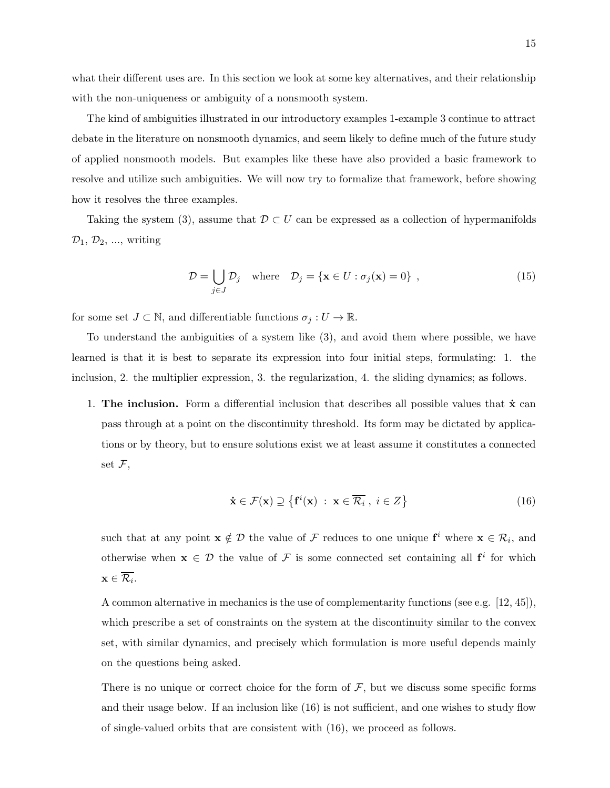what their different uses are. In this section we look at some key alternatives, and their relationship with the non-uniqueness or ambiguity of a nonsmooth system.

The kind of ambiguities illustrated in our introductory examples 1-example 3 continue to attract debate in the literature on nonsmooth dynamics, and seem likely to define much of the future study of applied nonsmooth models. But examples like these have also provided a basic framework to resolve and utilize such ambiguities. We will now try to formalize that framework, before showing how it resolves the three examples.

Taking the system (3), assume that  $\mathcal{D} \subset U$  can be expressed as a collection of hypermanifolds  $\mathcal{D}_1, \mathcal{D}_2, ...,$  writing

$$
\mathcal{D} = \bigcup_{j \in J} \mathcal{D}_j \quad \text{where} \quad \mathcal{D}_j = \{ \mathbf{x} \in U : \sigma_j(\mathbf{x}) = 0 \}, \tag{15}
$$

for some set  $J \subset \mathbb{N}$ , and differentiable functions  $\sigma_j : U \to \mathbb{R}$ .

To understand the ambiguities of a system like (3), and avoid them where possible, we have learned is that it is best to separate its expression into four initial steps, formulating: 1. the inclusion, 2. the multiplier expression, 3. the regularization, 4. the sliding dynamics; as follows.

1. The inclusion. Form a differential inclusion that describes all possible values that  $\dot{x}$  can pass through at a point on the discontinuity threshold. Its form may be dictated by applications or by theory, but to ensure solutions exist we at least assume it constitutes a connected set  $\mathcal{F},$ 

$$
\dot{\mathbf{x}} \in \mathcal{F}(\mathbf{x}) \supseteq \{ \mathbf{f}^i(\mathbf{x}) \; : \; \mathbf{x} \in \overline{\mathcal{R}_i} \; , \; i \in Z \}
$$
\n
$$
(16)
$$

such that at any point  $\mathbf{x} \notin \mathcal{D}$  the value of F reduces to one unique  $\mathbf{f}^i$  where  $\mathbf{x} \in \mathcal{R}_i$ , and otherwise when  $x \in \mathcal{D}$  the value of F is some connected set containing all  $f^i$  for which  $\mathbf{x} \in \mathcal{R}_i.$ 

A common alternative in mechanics is the use of complementarity functions (see e.g. [12, 45]), which prescribe a set of constraints on the system at the discontinuity similar to the convex set, with similar dynamics, and precisely which formulation is more useful depends mainly on the questions being asked.

There is no unique or correct choice for the form of  $F$ , but we discuss some specific forms and their usage below. If an inclusion like (16) is not sufficient, and one wishes to study flow of single-valued orbits that are consistent with (16), we proceed as follows.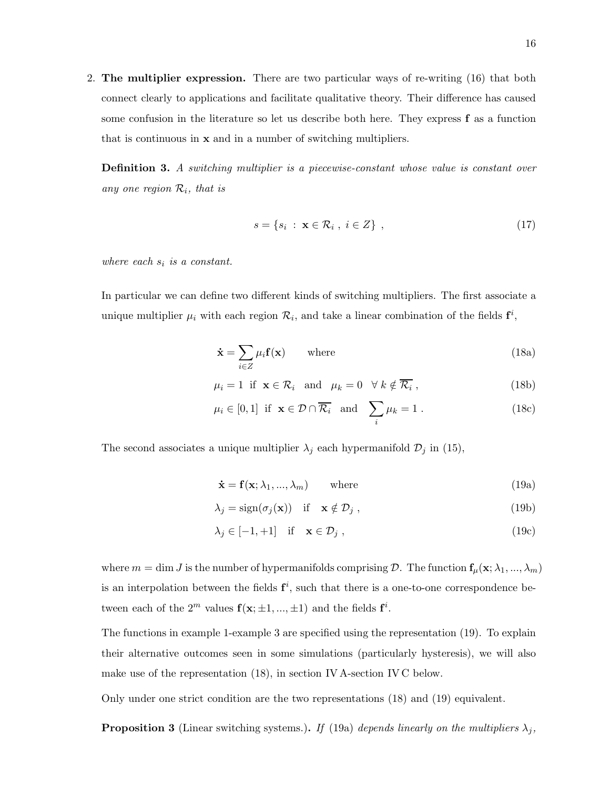2. The multiplier expression. There are two particular ways of re-writing (16) that both connect clearly to applications and facilitate qualitative theory. Their difference has caused some confusion in the literature so let us describe both here. They express f as a function that is continuous in x and in a number of switching multipliers.

**Definition 3.** A switching multiplier is a piecewise-constant whose value is constant over any one region  $\mathcal{R}_i$ , that is

$$
s = \{s_i : \mathbf{x} \in \mathcal{R}_i, i \in Z\},\tag{17}
$$

where each  $s_i$  is a constant.

In particular we can define two different kinds of switching multipliers. The first associate a unique multiplier  $\mu_i$  with each region  $\mathcal{R}_i$ , and take a linear combination of the fields  $f^i$ ,

$$
\dot{\mathbf{x}} = \sum_{i \in Z} \mu_i \mathbf{f}(\mathbf{x}) \qquad \text{where} \tag{18a}
$$

$$
\mu_i = 1 \text{ if } \mathbf{x} \in \mathcal{R}_i \text{ and } \mu_k = 0 \quad \forall \ k \notin \overline{\mathcal{R}_i} \,, \tag{18b}
$$

$$
\mu_i \in [0,1]
$$
 if  $\mathbf{x} \in \mathcal{D} \cap \overline{\mathcal{R}_i}$  and  $\sum_i \mu_k = 1$ . (18c)

The second associates a unique multiplier  $\lambda_j$  each hypermanifold  $\mathcal{D}_j$  in (15),

$$
\dot{\mathbf{x}} = \mathbf{f}(\mathbf{x}; \lambda_1, ..., \lambda_m) \quad \text{where} \tag{19a}
$$

$$
\lambda_j = \text{sign}(\sigma_j(\mathbf{x})) \quad \text{if} \quad \mathbf{x} \notin \mathcal{D}_j \tag{19b}
$$

$$
\lambda_j \in [-1, +1] \quad \text{if} \quad \mathbf{x} \in \mathcal{D}_j \tag{19c}
$$

where  $m = \dim J$  is the number of hypermanifolds comprising  $D$ . The function  $f_{\mu}(x; \lambda_1, ..., \lambda_m)$ is an interpolation between the fields  $f^i$ , such that there is a one-to-one correspondence between each of the  $2^m$  values  $f(\mathbf{x}; \pm 1, ..., \pm 1)$  and the fields  $f^i$ .

The functions in example 1-example 3 are specified using the representation (19). To explain their alternative outcomes seen in some simulations (particularly hysteresis), we will also make use of the representation (18), in section IV A-section IV C below.

Only under one strict condition are the two representations (18) and (19) equivalent.

**Proposition 3** (Linear switching systems.). If (19a) depends linearly on the multipliers  $\lambda_j$ ,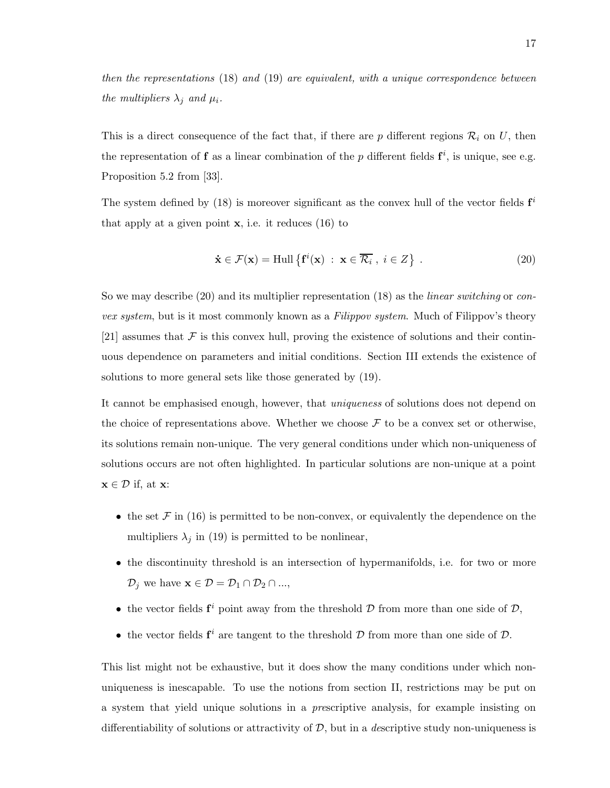then the representations (18) and (19) are equivalent, with a unique correspondence between the multipliers  $\lambda_j$  and  $\mu_i$ .

This is a direct consequence of the fact that, if there are  $p$  different regions  $\mathcal{R}_i$  on U, then the representation of **f** as a linear combination of the p different fields  $f^i$ , is unique, see e.g. Proposition 5.2 from [33].

The system defined by (18) is moreover significant as the convex hull of the vector fields  $f^i$ that apply at a given point  $x$ , i.e. it reduces (16) to

$$
\dot{\mathbf{x}} \in \mathcal{F}(\mathbf{x}) = \text{Hull} \left\{ \mathbf{f}^{i}(\mathbf{x}) \; : \; \mathbf{x} \in \overline{\mathcal{R}_{i}} \; , \; i \in Z \right\} \; . \tag{20}
$$

So we may describe (20) and its multiplier representation (18) as the *linear switching* or *con*vex system, but is it most commonly known as a Filippov system. Much of Filippov's theory [21] assumes that  $\mathcal F$  is this convex hull, proving the existence of solutions and their continuous dependence on parameters and initial conditions. Section III extends the existence of solutions to more general sets like those generated by (19).

It cannot be emphasised enough, however, that uniqueness of solutions does not depend on the choice of representations above. Whether we choose  $\mathcal F$  to be a convex set or otherwise, its solutions remain non-unique. The very general conditions under which non-uniqueness of solutions occurs are not often highlighted. In particular solutions are non-unique at a point  $\mathbf{x} \in \mathcal{D}$  if, at  $\mathbf{x}$ :

- the set  $\mathcal F$  in (16) is permitted to be non-convex, or equivalently the dependence on the multipliers  $\lambda_j$  in (19) is permitted to be nonlinear,
- the discontinuity threshold is an intersection of hypermanifolds, i.e. for two or more  $\mathcal{D}_j$  we have  $\mathbf{x} \in \mathcal{D} = \mathcal{D}_1 \cap \mathcal{D}_2 \cap ...$ ,
- the vector fields  $f^i$  point away from the threshold  $D$  from more than one side of  $D$ ,
- the vector fields  $f^i$  are tangent to the threshold  $D$  from more than one side of  $D$ .

This list might not be exhaustive, but it does show the many conditions under which nonuniqueness is inescapable. To use the notions from section II, restrictions may be put on a system that yield unique solutions in a prescriptive analysis, for example insisting on differentiability of solutions or attractivity of  $D$ , but in a *descriptive study non-uniqueness* is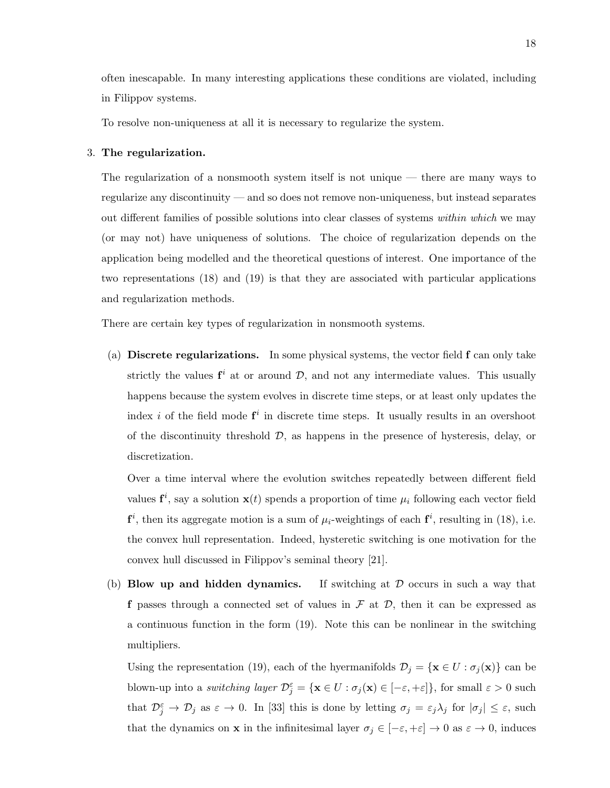often inescapable. In many interesting applications these conditions are violated, including in Filippov systems.

To resolve non-uniqueness at all it is necessary to regularize the system.

# 3. The regularization.

The regularization of a nonsmooth system itself is not unique — there are many ways to regularize any discontinuity — and so does not remove non-uniqueness, but instead separates out different families of possible solutions into clear classes of systems within which we may (or may not) have uniqueness of solutions. The choice of regularization depends on the application being modelled and the theoretical questions of interest. One importance of the two representations (18) and (19) is that they are associated with particular applications and regularization methods.

There are certain key types of regularization in nonsmooth systems.

(a) Discrete regularizations. In some physical systems, the vector field f can only take strictly the values  $f^i$  at or around  $D$ , and not any intermediate values. This usually happens because the system evolves in discrete time steps, or at least only updates the index *i* of the field mode  $f^i$  in discrete time steps. It usually results in an overshoot of the discontinuity threshold  $\mathcal{D}$ , as happens in the presence of hysteresis, delay, or discretization.

Over a time interval where the evolution switches repeatedly between different field values  $f^i$ , say a solution  $x(t)$  spends a proportion of time  $\mu_i$  following each vector field  $f^i$ , then its aggregate motion is a sum of  $\mu_i$ -weightings of each  $f^i$ , resulting in (18), i.e. the convex hull representation. Indeed, hysteretic switching is one motivation for the convex hull discussed in Filippov's seminal theory [21].

(b) Blow up and hidden dynamics. If switching at  $D$  occurs in such a way that f passes through a connected set of values in  $\mathcal F$  at  $\mathcal D$ , then it can be expressed as a continuous function in the form (19). Note this can be nonlinear in the switching multipliers.

Using the representation (19), each of the hyermanifolds  $\mathcal{D}_j = {\mathbf{x} \in U : \sigma_j(\mathbf{x})\}$  can be blown-up into a switching layer  $\mathcal{D}_{j}^{\varepsilon} = {\mathbf{x} \in U : \sigma_{j}(\mathbf{x}) \in [-\varepsilon, +\varepsilon]}$ , for small  $\varepsilon > 0$  such that  $\mathcal{D}_{j}^{\varepsilon} \to \mathcal{D}_{j}$  as  $\varepsilon \to 0$ . In [33] this is done by letting  $\sigma_{j} = \varepsilon_{j} \lambda_{j}$  for  $|\sigma_{j}| \leq \varepsilon$ , such that the dynamics on **x** in the infinitesimal layer  $\sigma_j \in [-\varepsilon, +\varepsilon] \to 0$  as  $\varepsilon \to 0$ , induces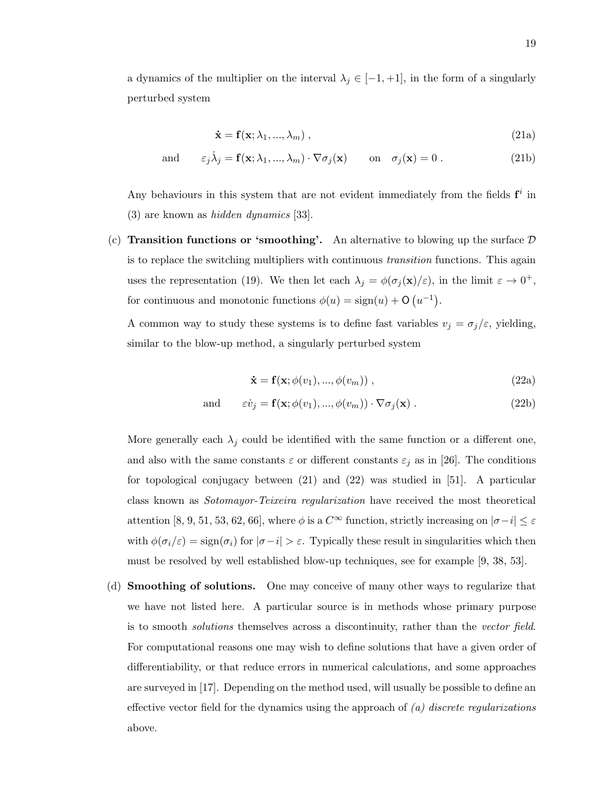a dynamics of the multiplier on the interval  $\lambda_j \in [-1, +1]$ , in the form of a singularly perturbed system

$$
\dot{\mathbf{x}} = \mathbf{f}(\mathbf{x}; \lambda_1, ..., \lambda_m), \qquad (21a)
$$

and 
$$
\varepsilon_j \dot{\lambda}_j = \mathbf{f}(\mathbf{x}; \lambda_1, ..., \lambda_m) \cdot \nabla \sigma_j(\mathbf{x})
$$
 on  $\sigma_j(\mathbf{x}) = 0$ . (21b)

Any behaviours in this system that are not evident immediately from the fields  $f^i$  in (3) are known as hidden dynamics [33].

(c) Transition functions or 'smoothing'. An alternative to blowing up the surface  $\mathcal D$ is to replace the switching multipliers with continuous *transition* functions. This again uses the representation (19). We then let each  $\lambda_j = \phi(\sigma_j(\mathbf{x})/\varepsilon)$ , in the limit  $\varepsilon \to 0^+$ , for continuous and monotonic functions  $\phi(u) = \text{sign}(u) + \mathsf{O}(u^{-1}).$ 

A common way to study these systems is to define fast variables  $v_j = \sigma_j/\varepsilon$ , yielding, similar to the blow-up method, a singularly perturbed system

$$
\dot{\mathbf{x}} = \mathbf{f}(\mathbf{x}; \phi(v_1), ..., \phi(v_m)), \qquad (22a)
$$

and 
$$
\varepsilon \dot{v}_j = \mathbf{f}(\mathbf{x}; \phi(v_1), ..., \phi(v_m)) \cdot \nabla \sigma_j(\mathbf{x})
$$
. (22b)

More generally each  $\lambda_i$  could be identified with the same function or a different one, and also with the same constants  $\varepsilon$  or different constants  $\varepsilon_j$  as in [26]. The conditions for topological conjugacy between (21) and (22) was studied in [51]. A particular class known as Sotomayor-Teixeira regularization have received the most theoretical attention [8, 9, 51, 53, 62, 66], where  $\phi$  is a  $C^{\infty}$  function, strictly increasing on  $|\sigma - i| \leq \varepsilon$ with  $\phi(\sigma_i/\varepsilon) = \text{sign}(\sigma_i)$  for  $|\sigma - i| > \varepsilon$ . Typically these result in singularities which then must be resolved by well established blow-up techniques, see for example [9, 38, 53].

(d) Smoothing of solutions. One may conceive of many other ways to regularize that we have not listed here. A particular source is in methods whose primary purpose is to smooth *solutions* themselves across a discontinuity, rather than the vector field. For computational reasons one may wish to define solutions that have a given order of differentiability, or that reduce errors in numerical calculations, and some approaches are surveyed in [17]. Depending on the method used, will usually be possible to define an effective vector field for the dynamics using the approach of  $(a)$  discrete regularizations above.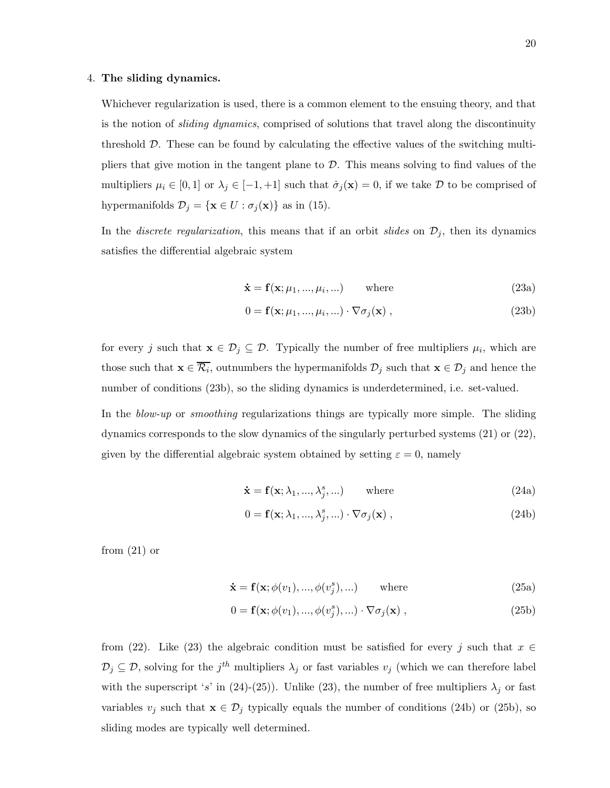## 4. The sliding dynamics.

Whichever regularization is used, there is a common element to the ensuing theory, and that is the notion of *sliding dynamics*, comprised of solutions that travel along the discontinuity threshold D. These can be found by calculating the effective values of the switching multipliers that give motion in the tangent plane to  $\mathcal D$ . This means solving to find values of the multipliers  $\mu_i \in [0,1]$  or  $\lambda_j \in [-1,+1]$  such that  $\dot{\sigma}_j(\mathbf{x}) = 0$ , if we take D to be comprised of hypermanifolds  $\mathcal{D}_j = \{ \mathbf{x} \in U : \sigma_j(\mathbf{x}) \}$  as in (15).

In the *discrete regularization*, this means that if an orbit *slides* on  $\mathcal{D}_j$ , then its dynamics satisfies the differential algebraic system

$$
\dot{\mathbf{x}} = \mathbf{f}(\mathbf{x}; \mu_1, ..., \mu_i, ...)
$$
 where (23a)

$$
0 = \mathbf{f}(\mathbf{x}; \mu_1, \dots, \mu_i, \dots) \cdot \nabla \sigma_j(\mathbf{x}), \qquad (23b)
$$

for every j such that  $\mathbf{x} \in \mathcal{D}_j \subseteq \mathcal{D}$ . Typically the number of free multipliers  $\mu_i$ , which are those such that  $\mathbf{x} \in \mathcal{R}_i$ , outnumbers the hypermanifolds  $\mathcal{D}_j$  such that  $\mathbf{x} \in \mathcal{D}_j$  and hence the number of conditions (23b), so the sliding dynamics is underdetermined, i.e. set-valued.

In the *blow-up* or *smoothing* regularizations things are typically more simple. The sliding dynamics corresponds to the slow dynamics of the singularly perturbed systems (21) or (22), given by the differential algebraic system obtained by setting  $\varepsilon = 0$ , namely

$$
\dot{\mathbf{x}} = \mathbf{f}(\mathbf{x}; \lambda_1, ..., \lambda_j^s, ...)
$$
 where (24a)

$$
0 = \mathbf{f}(\mathbf{x}; \lambda_1, ..., \lambda_j^s, ...) \cdot \nabla \sigma_j(\mathbf{x}), \qquad (24b)
$$

from  $(21)$  or

$$
\dot{\mathbf{x}} = \mathbf{f}(\mathbf{x}; \phi(v_1), ..., \phi(v_j^s), ...)
$$
 where (25a)

$$
0 = \mathbf{f}(\mathbf{x}; \phi(v_1), ..., \phi(v_j^s), ...) \cdot \nabla \sigma_j(\mathbf{x}),
$$
\n(25b)

from (22). Like (23) the algebraic condition must be satisfied for every j such that  $x \in$  $\mathcal{D}_j \subseteq \mathcal{D}$ , solving for the j<sup>th</sup> multipliers  $\lambda_j$  or fast variables  $v_j$  (which we can therefore label with the superscript 's' in (24)-(25)). Unlike (23), the number of free multipliers  $\lambda_j$  or fast variables  $v_j$  such that  $\mathbf{x} \in \mathcal{D}_j$  typically equals the number of conditions (24b) or (25b), so sliding modes are typically well determined.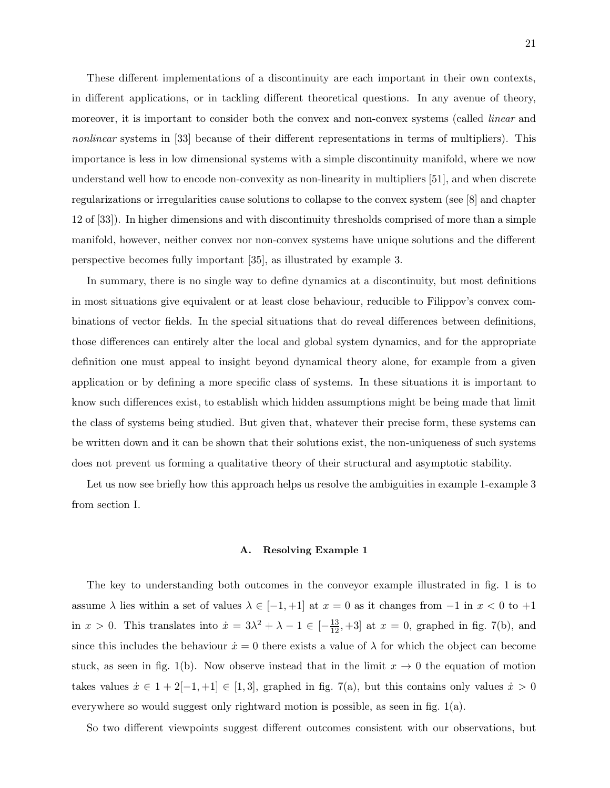These different implementations of a discontinuity are each important in their own contexts, in different applications, or in tackling different theoretical questions. In any avenue of theory, moreover, it is important to consider both the convex and non-convex systems (called *linear* and nonlinear systems in [33] because of their different representations in terms of multipliers). This importance is less in low dimensional systems with a simple discontinuity manifold, where we now understand well how to encode non-convexity as non-linearity in multipliers [51], and when discrete regularizations or irregularities cause solutions to collapse to the convex system (see [8] and chapter 12 of [33]). In higher dimensions and with discontinuity thresholds comprised of more than a simple manifold, however, neither convex nor non-convex systems have unique solutions and the different perspective becomes fully important [35], as illustrated by example 3.

In summary, there is no single way to define dynamics at a discontinuity, but most definitions in most situations give equivalent or at least close behaviour, reducible to Filippov's convex combinations of vector fields. In the special situations that do reveal differences between definitions, those differences can entirely alter the local and global system dynamics, and for the appropriate definition one must appeal to insight beyond dynamical theory alone, for example from a given application or by defining a more specific class of systems. In these situations it is important to know such differences exist, to establish which hidden assumptions might be being made that limit the class of systems being studied. But given that, whatever their precise form, these systems can be written down and it can be shown that their solutions exist, the non-uniqueness of such systems does not prevent us forming a qualitative theory of their structural and asymptotic stability.

Let us now see briefly how this approach helps us resolve the ambiguities in example 1-example 3 from section I.

#### A. Resolving Example 1

The key to understanding both outcomes in the conveyor example illustrated in fig. 1 is to assume  $\lambda$  lies within a set of values  $\lambda \in [-1, +1]$  at  $x = 0$  as it changes from  $-1$  in  $x < 0$  to  $+1$ in  $x > 0$ . This translates into  $\dot{x} = 3\lambda^2 + \lambda - 1 \in \left[-\frac{13}{12}, +3\right]$  at  $x = 0$ , graphed in fig. 7(b), and since this includes the behaviour  $\dot{x} = 0$  there exists a value of  $\lambda$  for which the object can become stuck, as seen in fig. 1(b). Now observe instead that in the limit  $x \to 0$  the equation of motion takes values  $\dot{x} \in 1 + 2[-1, +1] \in [1, 3]$ , graphed in fig. 7(a), but this contains only values  $\dot{x} > 0$ everywhere so would suggest only rightward motion is possible, as seen in fig. 1(a).

So two different viewpoints suggest different outcomes consistent with our observations, but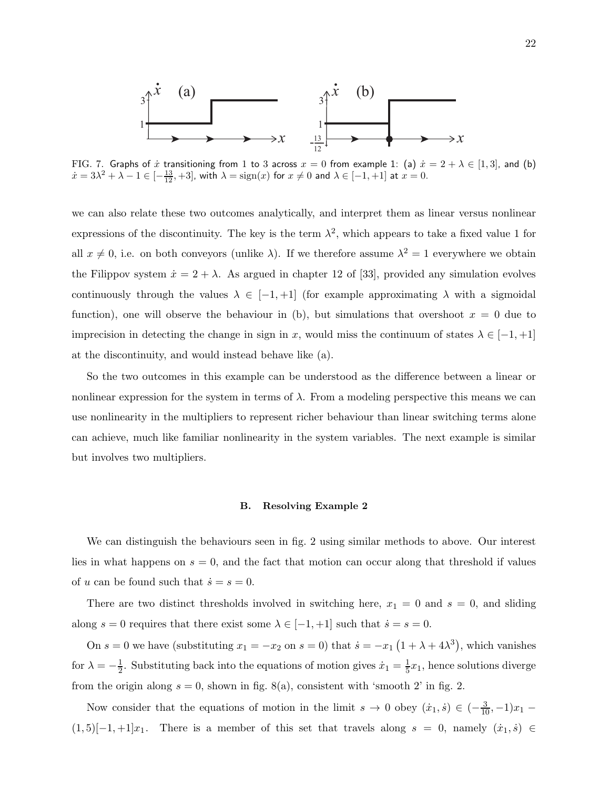

FIG. 7. Graphs of  $\dot{x}$  transitioning from 1 to 3 across  $x = 0$  from example 1: (a)  $\dot{x} = 2 + \lambda \in [1,3]$ , and (b)  $\dot{x} = 3\lambda^2 + \lambda - 1 \in [-\frac{13}{12}, +3]$ , with  $\lambda = \text{sign}(x)$  for  $x \neq 0$  and  $\lambda \in [-1, +1]$  at  $x = 0$ .

we can also relate these two outcomes analytically, and interpret them as linear versus nonlinear expressions of the discontinuity. The key is the term  $\lambda^2$ , which appears to take a fixed value 1 for all  $x \neq 0$ , i.e. on both conveyors (unlike  $\lambda$ ). If we therefore assume  $\lambda^2 = 1$  everywhere we obtain the Filippov system  $\dot{x} = 2 + \lambda$ . As argued in chapter 12 of [33], provided any simulation evolves continuously through the values  $\lambda \in [-1, +1]$  (for example approximating  $\lambda$  with a sigmoidal function), one will observe the behaviour in (b), but simulations that overshoot  $x = 0$  due to imprecision in detecting the change in sign in x, would miss the continuum of states  $\lambda \in [-1, +1]$ at the discontinuity, and would instead behave like (a).

So the two outcomes in this example can be understood as the difference between a linear or nonlinear expression for the system in terms of  $\lambda$ . From a modeling perspective this means we can use nonlinearity in the multipliers to represent richer behaviour than linear switching terms alone can achieve, much like familiar nonlinearity in the system variables. The next example is similar but involves two multipliers.

#### B. Resolving Example 2

We can distinguish the behaviours seen in fig. 2 using similar methods to above. Our interest lies in what happens on  $s = 0$ , and the fact that motion can occur along that threshold if values of u can be found such that  $\dot{s} = s = 0$ .

There are two distinct thresholds involved in switching here,  $x_1 = 0$  and  $s = 0$ , and sliding along  $s = 0$  requires that there exist some  $\lambda \in [-1, +1]$  such that  $\dot{s} = s = 0$ .

On  $s = 0$  we have (substituting  $x_1 = -x_2$  on  $s = 0$ ) that  $\dot{s} = -x_1(1 + \lambda + 4\lambda^3)$ , which vanishes for  $\lambda = -\frac{1}{2}$ . Substituting back into the equations of motion gives  $\dot{x}_1 = \frac{1}{5}x_1$ , hence solutions diverge from the origin along  $s = 0$ , shown in fig. 8(a), consistent with 'smooth 2' in fig. 2.

Now consider that the equations of motion in the limit  $s \to 0$  obey  $(\dot{x}_1, \dot{s}) \in (-\frac{3}{10}, -1)x_1$  $(1, 5)[-1, +1]x_1$ . There is a member of this set that travels along  $s = 0$ , namely  $(\dot{x}_1, \dot{s}) \in$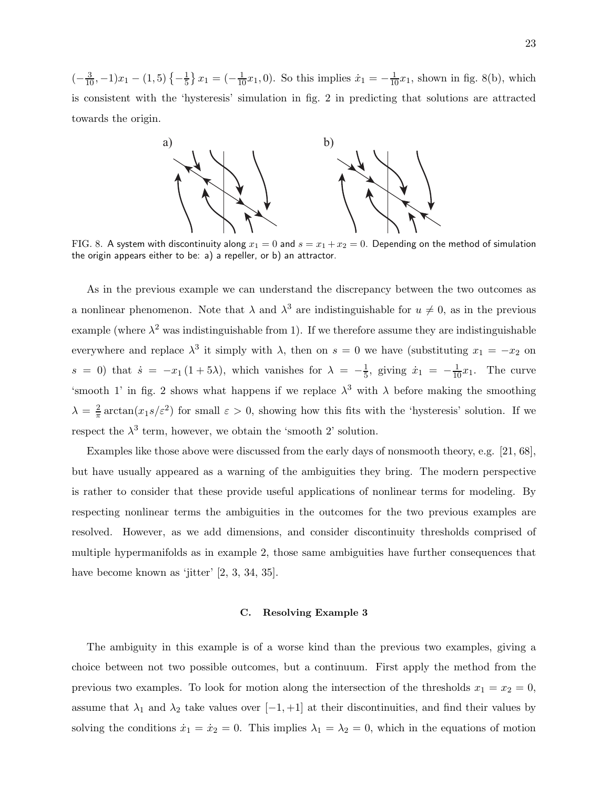$\left(-\frac{3}{10}, -1\right)x_1 - \left(1, 5\right)\left\{-\frac{1}{5}\right\}$  $\frac{1}{5}$   $x_1 = (-\frac{1}{10}x_1, 0)$ . So this implies  $\dot{x}_1 = -\frac{1}{10}x_1$ , shown in fig. 8(b), which is consistent with the 'hysteresis' simulation in fig. 2 in predicting that solutions are attracted towards the origin.



FIG. 8. A system with discontinuity along  $x_1 = 0$  and  $s = x_1 + x_2 = 0$ . Depending on the method of simulation the origin appears either to be: a) a repeller, or b) an attractor.

As in the previous example we can understand the discrepancy between the two outcomes as a nonlinear phenomenon. Note that  $\lambda$  and  $\lambda^3$  are indistinguishable for  $u \neq 0$ , as in the previous example (where  $\lambda^2$  was indistinguishable from 1). If we therefore assume they are indistinguishable everywhere and replace  $\lambda^3$  it simply with  $\lambda$ , then on  $s = 0$  we have (substituting  $x_1 = -x_2$  on  $s = 0$ ) that  $\dot{s} = -x_1(1+5\lambda)$ , which vanishes for  $\lambda = -\frac{1}{5}$ , giving  $\dot{x}_1 = -\frac{1}{10}x_1$ . The curve 'smooth 1' in fig. 2 shows what happens if we replace  $\lambda^3$  with  $\lambda$  before making the smoothing  $\lambda = \frac{2}{\pi}$  $\frac{2}{\pi} \arctan(x_1 s/\varepsilon^2)$  for small  $\varepsilon > 0$ , showing how this fits with the 'hysteresis' solution. If we respect the  $\lambda^3$  term, however, we obtain the 'smooth 2' solution.

Examples like those above were discussed from the early days of nonsmooth theory, e.g. [21, 68], but have usually appeared as a warning of the ambiguities they bring. The modern perspective is rather to consider that these provide useful applications of nonlinear terms for modeling. By respecting nonlinear terms the ambiguities in the outcomes for the two previous examples are resolved. However, as we add dimensions, and consider discontinuity thresholds comprised of multiple hypermanifolds as in example 2, those same ambiguities have further consequences that have become known as 'jitter' [2, 3, 34, 35].

## C. Resolving Example 3

The ambiguity in this example is of a worse kind than the previous two examples, giving a choice between not two possible outcomes, but a continuum. First apply the method from the previous two examples. To look for motion along the intersection of the thresholds  $x_1 = x_2 = 0$ , assume that  $\lambda_1$  and  $\lambda_2$  take values over  $[-1, +1]$  at their discontinuities, and find their values by solving the conditions  $\dot{x}_1 = \dot{x}_2 = 0$ . This implies  $\lambda_1 = \lambda_2 = 0$ , which in the equations of motion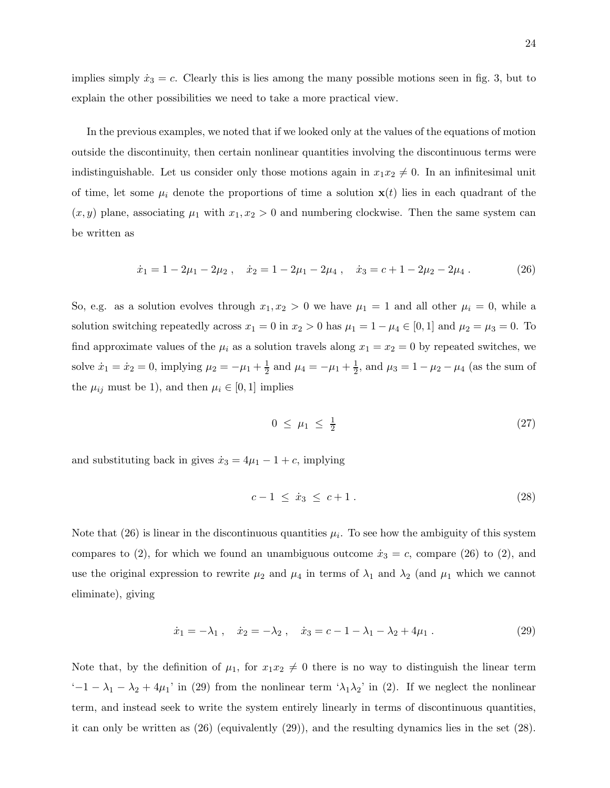In the previous examples, we noted that if we looked only at the values of the equations of motion outside the discontinuity, then certain nonlinear quantities involving the discontinuous terms were indistinguishable. Let us consider only those motions again in  $x_1x_2 \neq 0$ . In an infinitesimal unit of time, let some  $\mu_i$  denote the proportions of time a solution  $\mathbf{x}(t)$  lies in each quadrant of the  $(x, y)$  plane, associating  $\mu_1$  with  $x_1, x_2 > 0$  and numbering clockwise. Then the same system can be written as

$$
\dot{x}_1 = 1 - 2\mu_1 - 2\mu_2 \,, \quad \dot{x}_2 = 1 - 2\mu_1 - 2\mu_4 \,, \quad \dot{x}_3 = c + 1 - 2\mu_2 - 2\mu_4 \,. \tag{26}
$$

So, e.g. as a solution evolves through  $x_1, x_2 > 0$  we have  $\mu_1 = 1$  and all other  $\mu_i = 0$ , while a solution switching repeatedly across  $x_1 = 0$  in  $x_2 > 0$  has  $\mu_1 = 1 - \mu_4 \in [0, 1]$  and  $\mu_2 = \mu_3 = 0$ . To find approximate values of the  $\mu_i$  as a solution travels along  $x_1 = x_2 = 0$  by repeated switches, we solve  $\dot{x}_1 = \dot{x}_2 = 0$ , implying  $\mu_2 = -\mu_1 + \frac{1}{2}$  and  $\mu_4 = -\mu_1 + \frac{1}{2}$ , and  $\mu_3 = 1 - \mu_2 - \mu_4$  (as the sum of the  $\mu_{ij}$  must be 1), and then  $\mu_i \in [0, 1]$  implies

$$
0 \leq \mu_1 \leq \frac{1}{2} \tag{27}
$$

and substituting back in gives  $\dot{x}_3 = 4\mu_1 - 1 + c$ , implying

$$
c - 1 \leq \dot{x}_3 \leq c + 1. \tag{28}
$$

Note that  $(26)$  is linear in the discontinuous quantities  $\mu_i$ . To see how the ambiguity of this system compares to (2), for which we found an unambiguous outcome  $\dot{x}_3 = c$ , compare (26) to (2), and use the original expression to rewrite  $\mu_2$  and  $\mu_4$  in terms of  $\lambda_1$  and  $\lambda_2$  (and  $\mu_1$  which we cannot eliminate), giving

$$
\dot{x}_1 = -\lambda_1 \,, \quad \dot{x}_2 = -\lambda_2 \,, \quad \dot{x}_3 = c - 1 - \lambda_1 - \lambda_2 + 4\mu_1 \,. \tag{29}
$$

Note that, by the definition of  $\mu_1$ , for  $x_1x_2 \neq 0$  there is no way to distinguish the linear term  $-1 - \lambda_1 - \lambda_2 + 4\mu_1$ ' in (29) from the nonlinear term  $\lambda_1 \lambda_2$ ' in (2). If we neglect the nonlinear term, and instead seek to write the system entirely linearly in terms of discontinuous quantities, it can only be written as (26) (equivalently (29)), and the resulting dynamics lies in the set (28).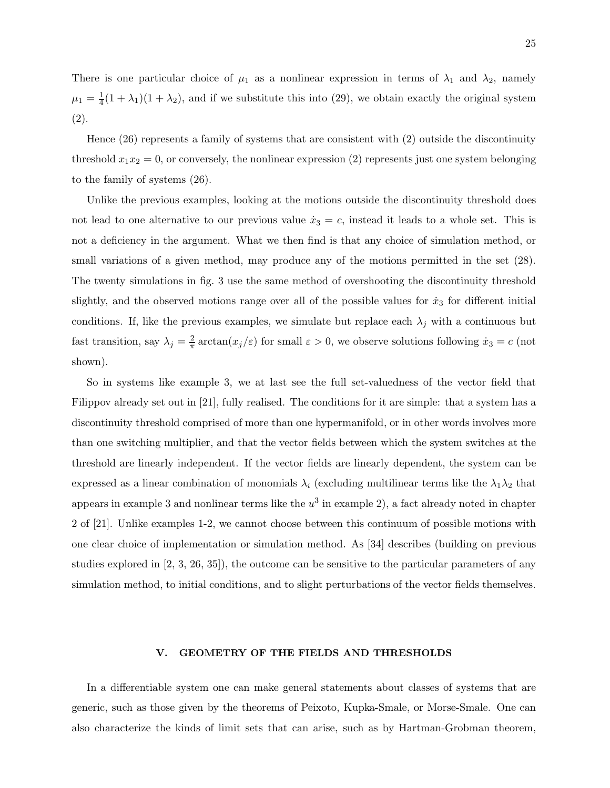There is one particular choice of  $\mu_1$  as a nonlinear expression in terms of  $\lambda_1$  and  $\lambda_2$ , namely  $\mu_1 = \frac{1}{4}(1 + \lambda_1)(1 + \lambda_2)$ , and if we substitute this into (29), we obtain exactly the original system (2).

Hence (26) represents a family of systems that are consistent with (2) outside the discontinuity threshold  $x_1x_2 = 0$ , or conversely, the nonlinear expression (2) represents just one system belonging to the family of systems (26).

Unlike the previous examples, looking at the motions outside the discontinuity threshold does not lead to one alternative to our previous value  $\dot{x}_3 = c$ , instead it leads to a whole set. This is not a deficiency in the argument. What we then find is that any choice of simulation method, or small variations of a given method, may produce any of the motions permitted in the set  $(28)$ . The twenty simulations in fig. 3 use the same method of overshooting the discontinuity threshold slightly, and the observed motions range over all of the possible values for  $\dot{x}_3$  for different initial conditions. If, like the previous examples, we simulate but replace each  $\lambda_j$  with a continuous but fast transition, say  $\lambda_j = \frac{2}{\pi}$  $\frac{2}{\pi} \arctan(x_j/\varepsilon)$  for small  $\varepsilon > 0$ , we observe solutions following  $\dot{x}_3 = c$  (not shown).

So in systems like example 3, we at last see the full set-valuedness of the vector field that Filippov already set out in [21], fully realised. The conditions for it are simple: that a system has a discontinuity threshold comprised of more than one hypermanifold, or in other words involves more than one switching multiplier, and that the vector fields between which the system switches at the threshold are linearly independent. If the vector fields are linearly dependent, the system can be expressed as a linear combination of monomials  $\lambda_i$  (excluding multilinear terms like the  $\lambda_1\lambda_2$  that appears in example 3 and nonlinear terms like the  $u^3$  in example 2), a fact already noted in chapter 2 of [21]. Unlike examples 1-2, we cannot choose between this continuum of possible motions with one clear choice of implementation or simulation method. As [34] describes (building on previous studies explored in [2, 3, 26, 35]), the outcome can be sensitive to the particular parameters of any simulation method, to initial conditions, and to slight perturbations of the vector fields themselves.

# V. GEOMETRY OF THE FIELDS AND THRESHOLDS

In a differentiable system one can make general statements about classes of systems that are generic, such as those given by the theorems of Peixoto, Kupka-Smale, or Morse-Smale. One can also characterize the kinds of limit sets that can arise, such as by Hartman-Grobman theorem,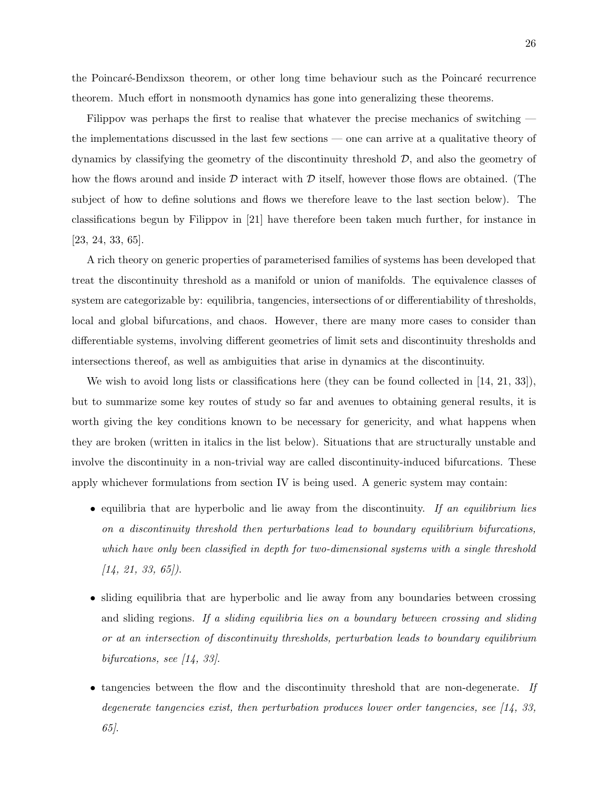the Poincaré-Bendixson theorem, or other long time behaviour such as the Poincaré recurrence theorem. Much effort in nonsmooth dynamics has gone into generalizing these theorems.

Filippov was perhaps the first to realise that whatever the precise mechanics of switching the implementations discussed in the last few sections — one can arrive at a qualitative theory of dynamics by classifying the geometry of the discontinuity threshold  $\mathcal{D}$ , and also the geometry of how the flows around and inside  $\mathcal D$  interact with  $\mathcal D$  itself, however those flows are obtained. (The subject of how to define solutions and flows we therefore leave to the last section below). The classifications begun by Filippov in [21] have therefore been taken much further, for instance in [23, 24, 33, 65].

A rich theory on generic properties of parameterised families of systems has been developed that treat the discontinuity threshold as a manifold or union of manifolds. The equivalence classes of system are categorizable by: equilibria, tangencies, intersections of or differentiability of thresholds, local and global bifurcations, and chaos. However, there are many more cases to consider than differentiable systems, involving different geometries of limit sets and discontinuity thresholds and intersections thereof, as well as ambiguities that arise in dynamics at the discontinuity.

We wish to avoid long lists or classifications here (they can be found collected in [14, 21, 33]), but to summarize some key routes of study so far and avenues to obtaining general results, it is worth giving the key conditions known to be necessary for genericity, and what happens when they are broken (written in italics in the list below). Situations that are structurally unstable and involve the discontinuity in a non-trivial way are called discontinuity-induced bifurcations. These apply whichever formulations from section IV is being used. A generic system may contain:

- equilibria that are hyperbolic and lie away from the discontinuity. If an equilibrium lies on a discontinuity threshold then perturbations lead to boundary equilibrium bifurcations, which have only been classified in depth for two-dimensional systems with a single threshold  $[14, 21, 33, 65]$ .
- sliding equilibria that are hyperbolic and lie away from any boundaries between crossing and sliding regions. If a sliding equilibria lies on a boundary between crossing and sliding or at an intersection of discontinuity thresholds, perturbation leads to boundary equilibrium bifurcations, see [14, 33].
- tangencies between the flow and the discontinuity threshold that are non-degenerate. If degenerate tangencies exist, then perturbation produces lower order tangencies, see [14, 33, 65].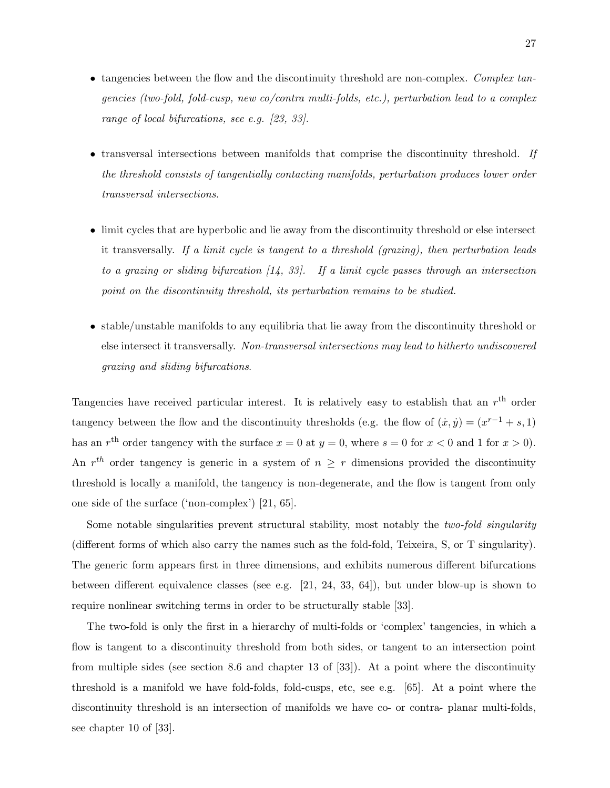- tangencies between the flow and the discontinuity threshold are non-complex. Complex tangencies (two-fold, fold-cusp, new co/contra multi-folds, etc.), perturbation lead to a complex range of local bifurcations, see e.g. [23, 33].
- transversal intersections between manifolds that comprise the discontinuity threshold. If the threshold consists of tangentially contacting manifolds, perturbation produces lower order transversal intersections.
- limit cycles that are hyperbolic and lie away from the discontinuity threshold or else intersect it transversally. If a limit cycle is tangent to a threshold (grazing), then perturbation leads to a grazing or sliding bifurcation  $(14, 33)$ . If a limit cycle passes through an intersection point on the discontinuity threshold, its perturbation remains to be studied.
- stable/unstable manifolds to any equilibria that lie away from the discontinuity threshold or else intersect it transversally. Non-transversal intersections may lead to hitherto undiscovered grazing and sliding bifurcations.

Tangencies have received particular interest. It is relatively easy to establish that an  $r<sup>th</sup>$  order tangency between the flow and the discontinuity thresholds (e.g. the flow of  $(\dot{x}, \dot{y}) = (x^{r-1} + s, 1)$ has an  $r<sup>th</sup>$  order tangency with the surface  $x = 0$  at  $y = 0$ , where  $s = 0$  for  $x < 0$  and 1 for  $x > 0$ ). An  $r^{th}$  order tangency is generic in a system of  $n \geq r$  dimensions provided the discontinuity threshold is locally a manifold, the tangency is non-degenerate, and the flow is tangent from only one side of the surface ('non-complex') [21, 65].

Some notable singularities prevent structural stability, most notably the *two-fold singularity* (different forms of which also carry the names such as the fold-fold, Teixeira, S, or T singularity). The generic form appears first in three dimensions, and exhibits numerous different bifurcations between different equivalence classes (see e.g. [21, 24, 33, 64]), but under blow-up is shown to require nonlinear switching terms in order to be structurally stable [33].

The two-fold is only the first in a hierarchy of multi-folds or 'complex' tangencies, in which a flow is tangent to a discontinuity threshold from both sides, or tangent to an intersection point from multiple sides (see section 8.6 and chapter 13 of [33]). At a point where the discontinuity threshold is a manifold we have fold-folds, fold-cusps, etc, see e.g. [65]. At a point where the discontinuity threshold is an intersection of manifolds we have co- or contra- planar multi-folds, see chapter 10 of [33].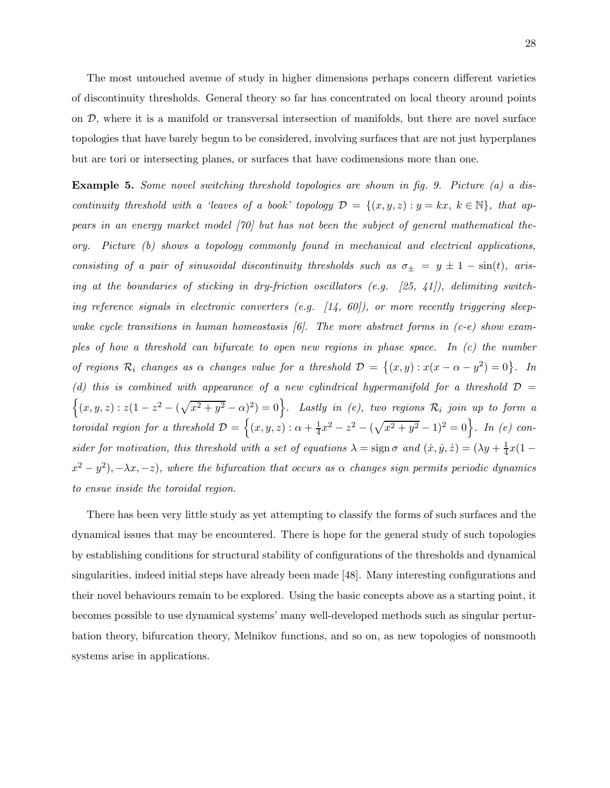The most untouched avenue of study in higher dimensions perhaps concern different varieties of discontinuity thresholds. General theory so far has concentrated on local theory around points on  $D$ , where it is a manifold or transversal intersection of manifolds, but there are novel surface topologies that have barely begun to be considered, involving surfaces that are not just hyperplanes but are tori or intersecting planes, or surfaces that have codimensions more than one.

Example 5. Some novel switching threshold topologies are shown in fig. 9. Picture (a) a discontinuity threshold with a 'leaves of a book' topology  $\mathcal{D} = \{(x, y, z) : y = kx, k \in \mathbb{N}\}\$ , that appears in an energy market model [70] but has not been the subject of general mathematical theory. Picture (b) shows a topology commonly found in mechanical and electrical applications, consisting of a pair of sinusoidal discontinuity thresholds such as  $\sigma_{\pm} = y \pm 1 - \sin(t)$ , arising at the boundaries of sticking in dry-friction oscillators (e.g.  $[25, 41]$ ), delimiting switching reference signals in electronic converters (e.g.  $[14, 60]$ ), or more recently triggering sleepwake cycle transitions in human homeostasis  $(6)$ . The more abstract forms in (c-e) show examples of how a threshold can bifurcate to open new regions in phase space. In (c) the number of regions  $\mathcal{R}_i$  changes as  $\alpha$  changes value for a threshold  $\mathcal{D} = \{(x, y) : x(x - \alpha - y^2) = 0\}$ . In (d) this is combined with appearance of a new cylindrical hypermanifold for a threshold  $\mathcal{D}$  =  $\{(x,y,z): z(1-z^2-(\sqrt{x^2+y^2}-\alpha)^2)=0\}$ . Lastly in (e), two regions  $\mathcal{R}_i$  join up to form a toroidal region for a threshold  $\mathcal{D} = \{(x, y, z) : \alpha + \frac{1}{4}\}$  $\frac{1}{4}x^2-z^2-(\sqrt{x^2+y^2}-1)^2=0$ . In (e) consider for motivation, this threshold with a set of equations  $\lambda = \text{sign}\,\sigma$  and  $(\dot{x}, \dot{y}, \dot{z}) = (\lambda y + \frac{1}{4}x(1 - \lambda z))$  $(x^2-y^2), -\lambda x, -z)$ , where the bifurcation that occurs as  $\alpha$  changes sign permits periodic dynamics to ensue inside the toroidal region.

There has been very little study as yet attempting to classify the forms of such surfaces and the dynamical issues that may be encountered. There is hope for the general study of such topologies by establishing conditions for structural stability of configurations of the thresholds and dynamical singularities, indeed initial steps have already been made [48]. Many interesting configurations and their novel behaviours remain to be explored. Using the basic concepts above as a starting point, it becomes possible to use dynamical systems' many well-developed methods such as singular perturbation theory, bifurcation theory, Melnikov functions, and so on, as new topologies of nonsmooth systems arise in applications.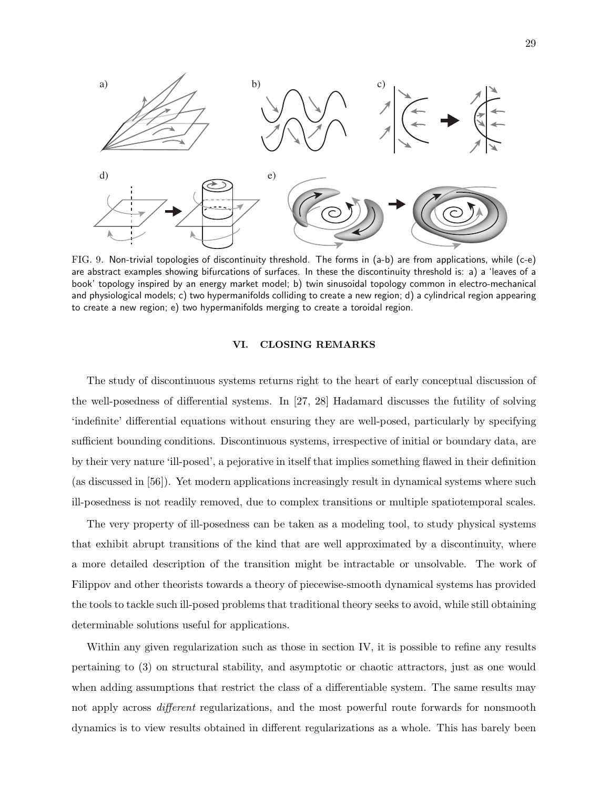

FIG. 9. Non-trivial topologies of discontinuity threshold. The forms in (a-b) are from applications, while (c-e) are abstract examples showing bifurcations of surfaces. In these the discontinuity threshold is: a) a 'leaves of a book' topology inspired by an energy market model; b) twin sinusoidal topology common in electro-mechanical and physiological models; c) two hypermanifolds colliding to create a new region; d) a cylindrical region appearing to create a new region; e) two hypermanifolds merging to create a toroidal region.

# VI. CLOSING REMARKS

The study of discontinuous systems returns right to the heart of early conceptual discussion of the well-posedness of differential systems. In [27, 28] Hadamard discusses the futility of solving 'indefinite' differential equations without ensuring they are well-posed, particularly by specifying sufficient bounding conditions. Discontinuous systems, irrespective of initial or boundary data, are by their very nature 'ill-posed', a pejorative in itself that implies something flawed in their definition (as discussed in [56]). Yet modern applications increasingly result in dynamical systems where such ill-posedness is not readily removed, due to complex transitions or multiple spatiotemporal scales.

The very property of ill-posedness can be taken as a modeling tool, to study physical systems that exhibit abrupt transitions of the kind that are well approximated by a discontinuity, where a more detailed description of the transition might be intractable or unsolvable. The work of Filippov and other theorists towards a theory of piecewise-smooth dynamical systems has provided the tools to tackle such ill-posed problems that traditional theory seeks to avoid, while still obtaining determinable solutions useful for applications.

Within any given regularization such as those in section IV, it is possible to refine any results pertaining to (3) on structural stability, and asymptotic or chaotic attractors, just as one would when adding assumptions that restrict the class of a differentiable system. The same results may not apply across *different* regularizations, and the most powerful route forwards for nonsmooth dynamics is to view results obtained in different regularizations as a whole. This has barely been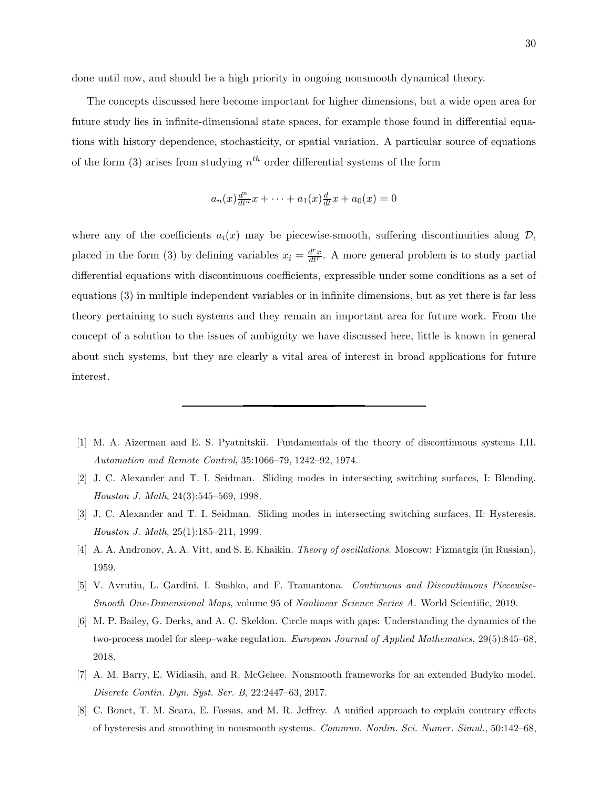done until now, and should be a high priority in ongoing nonsmooth dynamical theory.

The concepts discussed here become important for higher dimensions, but a wide open area for future study lies in infinite-dimensional state spaces, for example those found in differential equations with history dependence, stochasticity, or spatial variation. A particular source of equations of the form (3) arises from studying  $n<sup>th</sup>$  order differential systems of the form

$$
a_n(x)\frac{d^n}{dt^n}x + \dots + a_1(x)\frac{d}{dt}x + a_0(x) = 0
$$

where any of the coefficients  $a_i(x)$  may be piecewise-smooth, suffering discontinuities along  $\mathcal{D}$ , placed in the form (3) by defining variables  $x_i = \frac{d^r x}{dt^r}$ . A more general problem is to study partial differential equations with discontinuous coefficients, expressible under some conditions as a set of equations (3) in multiple independent variables or in infinite dimensions, but as yet there is far less theory pertaining to such systems and they remain an important area for future work. From the concept of a solution to the issues of ambiguity we have discussed here, little is known in general about such systems, but they are clearly a vital area of interest in broad applications for future interest.

- [1] M. A. Aizerman and E. S. Pyatnitskii. Fundamentals of the theory of discontinuous systems I,II. Automation and Remote Control, 35:1066–79, 1242–92, 1974.
- [2] J. C. Alexander and T. I. Seidman. Sliding modes in intersecting switching surfaces, I: Blending. Houston J. Math, 24(3):545–569, 1998.
- [3] J. C. Alexander and T. I. Seidman. Sliding modes in intersecting switching surfaces, II: Hysteresis. Houston J. Math, 25(1):185–211, 1999.
- [4] A. A. Andronov, A. A. Vitt, and S. E. Khaikin. Theory of oscillations. Moscow: Fizmatgiz (in Russian), 1959.
- [5] V. Avrutin, L. Gardini, I. Sushko, and F. Tramantona. Continuous and Discontinuous Piecewise-Smooth One-Dimensional Maps, volume 95 of Nonlinear Science Series A. World Scientific, 2019.
- [6] M. P. Bailey, G. Derks, and A. C. Skeldon. Circle maps with gaps: Understanding the dynamics of the two-process model for sleep–wake regulation. European Journal of Applied Mathematics, 29(5):845–68, 2018.
- [7] A. M. Barry, E. Widiasih, and R. McGehee. Nonsmooth frameworks for an extended Budyko model. Discrete Contin. Dyn. Syst. Ser. B, 22:2447–63, 2017.
- [8] C. Bonet, T. M. Seara, E. Fossas, and M. R. Jeffrey. A unified approach to explain contrary effects of hysteresis and smoothing in nonsmooth systems. Commun. Nonlin. Sci. Numer. Simul., 50:142–68,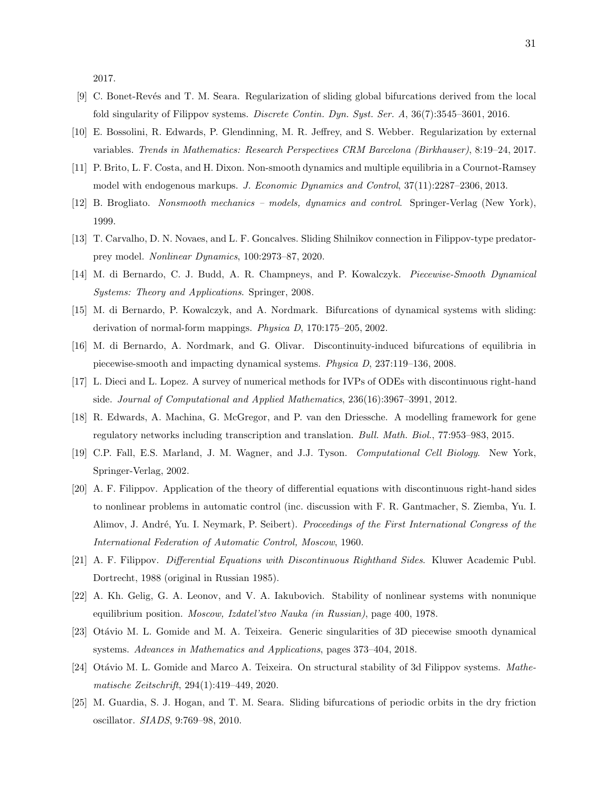2017.

- [9] C. Bonet-Rev´es and T. M. Seara. Regularization of sliding global bifurcations derived from the local fold singularity of Filippov systems. Discrete Contin. Dyn. Syst. Ser. A, 36(7):3545–3601, 2016.
- [10] E. Bossolini, R. Edwards, P. Glendinning, M. R. Jeffrey, and S. Webber. Regularization by external variables. Trends in Mathematics: Research Perspectives CRM Barcelona (Birkhauser), 8:19–24, 2017.
- [11] P. Brito, L. F. Costa, and H. Dixon. Non-smooth dynamics and multiple equilibria in a Cournot-Ramsey model with endogenous markups. J. Economic Dynamics and Control, 37(11):2287–2306, 2013.
- [12] B. Brogliato. Nonsmooth mechanics models, dynamics and control. Springer-Verlag (New York), 1999.
- [13] T. Carvalho, D. N. Novaes, and L. F. Goncalves. Sliding Shilnikov connection in Filippov-type predatorprey model. Nonlinear Dynamics, 100:2973–87, 2020.
- [14] M. di Bernardo, C. J. Budd, A. R. Champneys, and P. Kowalczyk. *Piecewise-Smooth Dynamical* Systems: Theory and Applications. Springer, 2008.
- [15] M. di Bernardo, P. Kowalczyk, and A. Nordmark. Bifurcations of dynamical systems with sliding: derivation of normal-form mappings. Physica D, 170:175–205, 2002.
- [16] M. di Bernardo, A. Nordmark, and G. Olivar. Discontinuity-induced bifurcations of equilibria in piecewise-smooth and impacting dynamical systems. Physica D, 237:119–136, 2008.
- [17] L. Dieci and L. Lopez. A survey of numerical methods for IVPs of ODEs with discontinuous right-hand side. Journal of Computational and Applied Mathematics, 236(16):3967–3991, 2012.
- [18] R. Edwards, A. Machina, G. McGregor, and P. van den Driessche. A modelling framework for gene regulatory networks including transcription and translation. Bull. Math. Biol., 77:953–983, 2015.
- [19] C.P. Fall, E.S. Marland, J. M. Wagner, and J.J. Tyson. Computational Cell Biology. New York, Springer-Verlag, 2002.
- [20] A. F. Filippov. Application of the theory of differential equations with discontinuous right-hand sides to nonlinear problems in automatic control (inc. discussion with F. R. Gantmacher, S. Ziemba, Yu. I. Alimov, J. André, Yu. I. Neymark, P. Seibert). Proceedings of the First International Congress of the International Federation of Automatic Control, Moscow, 1960.
- [21] A. F. Filippov. Differential Equations with Discontinuous Righthand Sides. Kluwer Academic Publ. Dortrecht, 1988 (original in Russian 1985).
- [22] A. Kh. Gelig, G. A. Leonov, and V. A. Iakubovich. Stability of nonlinear systems with nonunique equilibrium position. Moscow, Izdatel'stvo Nauka (in Russian), page 400, 1978.
- [23] Ot´avio M. L. Gomide and M. A. Teixeira. Generic singularities of 3D piecewise smooth dynamical systems. Advances in Mathematics and Applications, pages 373–404, 2018.
- [24] Otávio M. L. Gomide and Marco A. Teixeira. On structural stability of 3d Filippov systems. Mathematische Zeitschrift, 294(1):419–449, 2020.
- [25] M. Guardia, S. J. Hogan, and T. M. Seara. Sliding bifurcations of periodic orbits in the dry friction oscillator. SIADS, 9:769–98, 2010.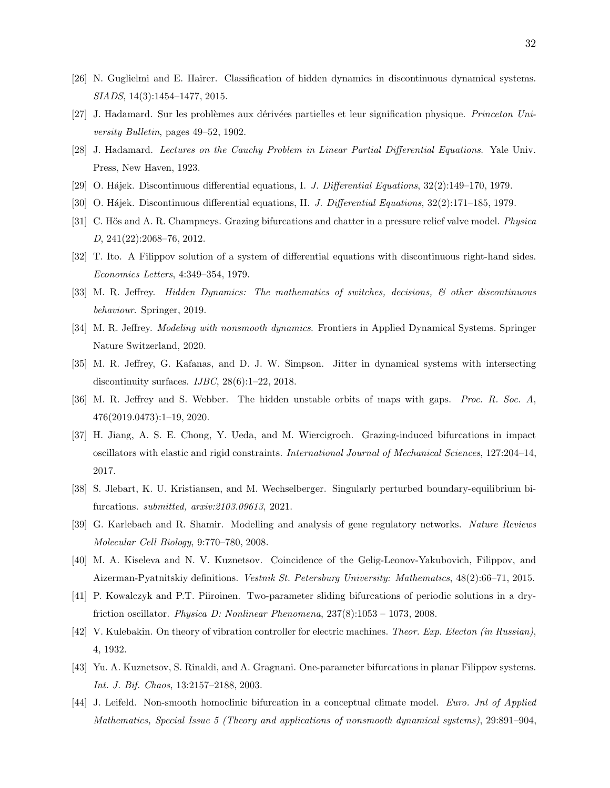- [26] N. Guglielmi and E. Hairer. Classification of hidden dynamics in discontinuous dynamical systems. SIADS, 14(3):1454–1477, 2015.
- [27] J. Hadamard. Sur les problèmes aux dérivées partielles et leur signification physique. Princeton University Bulletin, pages 49–52, 1902.
- [28] J. Hadamard. Lectures on the Cauchy Problem in Linear Partial Differential Equations. Yale Univ. Press, New Haven, 1923.
- [29] O. Hájek. Discontinuous differential equations, I. J. Differential Equations,  $32(2):149-170$ , 1979.
- [30] O. Hájek. Discontinuous differential equations, II. J. Differential Equations, 32(2):171–185, 1979.
- [31] C. Hös and A. R. Champneys. Grazing bifurcations and chatter in a pressure relief valve model. *Physica* D, 241(22):2068–76, 2012.
- [32] T. Ito. A Filippov solution of a system of differential equations with discontinuous right-hand sides. Economics Letters, 4:349–354, 1979.
- [33] M. R. Jeffrey. Hidden Dynamics: The mathematics of switches, decisions,  $\mathcal{B}$  other discontinuous behaviour. Springer, 2019.
- [34] M. R. Jeffrey. *Modeling with nonsmooth dynamics*. Frontiers in Applied Dynamical Systems. Springer Nature Switzerland, 2020.
- [35] M. R. Jeffrey, G. Kafanas, and D. J. W. Simpson. Jitter in dynamical systems with intersecting discontinuity surfaces.  $IJBC$ ,  $28(6):1-22$ ,  $2018$ .
- [36] M. R. Jeffrey and S. Webber. The hidden unstable orbits of maps with gaps. Proc. R. Soc. A, 476(2019.0473):1–19, 2020.
- [37] H. Jiang, A. S. E. Chong, Y. Ueda, and M. Wiercigroch. Grazing-induced bifurcations in impact oscillators with elastic and rigid constraints. International Journal of Mechanical Sciences, 127:204–14, 2017.
- [38] S. Jlebart, K. U. Kristiansen, and M. Wechselberger. Singularly perturbed boundary-equilibrium bifurcations. submitted, arxiv:2103.09613, 2021.
- [39] G. Karlebach and R. Shamir. Modelling and analysis of gene regulatory networks. Nature Reviews Molecular Cell Biology, 9:770–780, 2008.
- [40] M. A. Kiseleva and N. V. Kuznetsov. Coincidence of the Gelig-Leonov-Yakubovich, Filippov, and Aizerman-Pyatnitskiy definitions. Vestnik St. Petersburg University: Mathematics, 48(2):66–71, 2015.
- [41] P. Kowalczyk and P.T. Piiroinen. Two-parameter sliding bifurcations of periodic solutions in a dryfriction oscillator. Physica D: Nonlinear Phenomena, 237(8):1053 – 1073, 2008.
- [42] V. Kulebakin. On theory of vibration controller for electric machines. Theor. Exp. Electon (in Russian), 4, 1932.
- [43] Yu. A. Kuznetsov, S. Rinaldi, and A. Gragnani. One-parameter bifurcations in planar Filippov systems. Int. J. Bif. Chaos, 13:2157–2188, 2003.
- [44] J. Leifeld. Non-smooth homoclinic bifurcation in a conceptual climate model. Euro. Jnl of Applied Mathematics, Special Issue 5 (Theory and applications of nonsmooth dynamical systems), 29:891–904,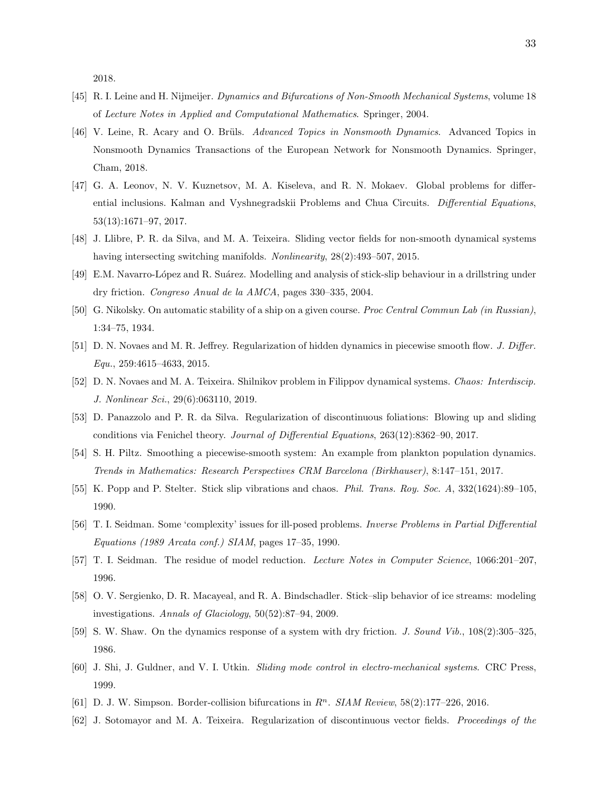2018.

- [45] R. I. Leine and H. Nijmeijer. Dynamics and Bifurcations of Non-Smooth Mechanical Systems, volume 18 of Lecture Notes in Applied and Computational Mathematics. Springer, 2004.
- [46] V. Leine, R. Acary and O. Brüls. Advanced Topics in Nonsmooth Dynamics. Advanced Topics in Nonsmooth Dynamics Transactions of the European Network for Nonsmooth Dynamics. Springer, Cham, 2018.
- [47] G. A. Leonov, N. V. Kuznetsov, M. A. Kiseleva, and R. N. Mokaev. Global problems for differential inclusions. Kalman and Vyshnegradskii Problems and Chua Circuits. Differential Equations, 53(13):1671–97, 2017.
- [48] J. Llibre, P. R. da Silva, and M. A. Teixeira. Sliding vector fields for non-smooth dynamical systems having intersecting switching manifolds. Nonlinearity, 28(2):493–507, 2015.
- [49] E.M. Navarro-López and R. Suárez. Modelling and analysis of stick-slip behaviour in a drillstring under dry friction. Congreso Anual de la AMCA, pages 330–335, 2004.
- [50] G. Nikolsky. On automatic stability of a ship on a given course. Proc Central Commun Lab (in Russian), 1:34–75, 1934.
- [51] D. N. Novaes and M. R. Jeffrey. Regularization of hidden dynamics in piecewise smooth flow. J. Differ. Equ., 259:4615–4633, 2015.
- [52] D. N. Novaes and M. A. Teixeira. Shilnikov problem in Filippov dynamical systems. Chaos: Interdiscip. J. Nonlinear Sci., 29(6):063110, 2019.
- [53] D. Panazzolo and P. R. da Silva. Regularization of discontinuous foliations: Blowing up and sliding conditions via Fenichel theory. Journal of Differential Equations, 263(12):8362–90, 2017.
- [54] S. H. Piltz. Smoothing a piecewise-smooth system: An example from plankton population dynamics. Trends in Mathematics: Research Perspectives CRM Barcelona (Birkhauser), 8:147–151, 2017.
- [55] K. Popp and P. Stelter. Stick slip vibrations and chaos. Phil. Trans. Roy. Soc. A, 332(1624):89–105, 1990.
- [56] T. I. Seidman. Some 'complexity' issues for ill-posed problems. Inverse Problems in Partial Differential Equations (1989 Arcata conf.) SIAM, pages 17–35, 1990.
- [57] T. I. Seidman. The residue of model reduction. Lecture Notes in Computer Science, 1066:201–207, 1996.
- [58] O. V. Sergienko, D. R. Macayeal, and R. A. Bindschadler. Stick–slip behavior of ice streams: modeling investigations. Annals of Glaciology, 50(52):87–94, 2009.
- [59] S. W. Shaw. On the dynamics response of a system with dry friction. J. Sound Vib., 108(2):305–325, 1986.
- [60] J. Shi, J. Guldner, and V. I. Utkin. Sliding mode control in electro-mechanical systems. CRC Press, 1999.
- [61] D. J. W. Simpson. Border-collision bifurcations in  $R<sup>n</sup>$ . SIAM Review, 58(2):177–226, 2016.
- [62] J. Sotomayor and M. A. Teixeira. Regularization of discontinuous vector fields. Proceedings of the